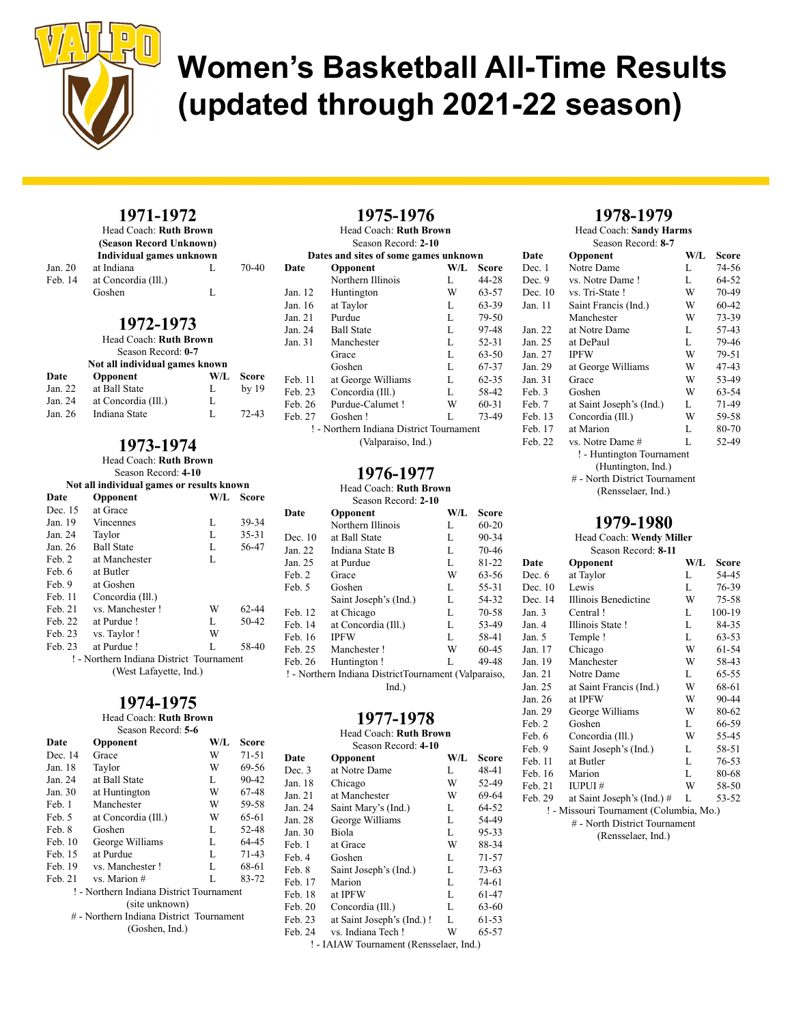

### 1971-1972

|         | Head Coach: Ruth Brown   |    |       |
|---------|--------------------------|----|-------|
|         | (Season Record Unknown)  |    |       |
|         | Individual games unknown |    |       |
| Jan. 20 | at Indiana               | Ι. | 70-40 |
| Feb. 14 | at Concordia (Ill.)      |    |       |
|         | Goshen                   | L  |       |
|         |                          |    |       |

#### 1972-1973

| Head Coach: Ruth Brown<br>Season Record: 0-7 |                                |     |              |
|----------------------------------------------|--------------------------------|-----|--------------|
|                                              | Not all individual games known |     |              |
| Date                                         | Opponent                       | W/L | <b>Score</b> |
| Jan. 22                                      | at Ball State                  | L   | by 19        |
| Jan. 24                                      | at Concordia (Ill.)            | L   |              |
| Jan. 26                                      | Indiana State                  | L   | $72 - 43$    |

### 1973-1974

Head Coach: Ruth Brown

Season Record: 4-10

## Not all individual games or results known

| Date                                     | Opponent               | W/L | <b>Score</b> |  |
|------------------------------------------|------------------------|-----|--------------|--|
| Dec. 15                                  | at Grace               |     |              |  |
| Jan. 19                                  | Vincennes              | L   | 39-34        |  |
| Jan. 24                                  | Taylor                 | L   | $35 - 31$    |  |
| Jan. 26                                  | <b>Ball State</b>      | L   | 56-47        |  |
| Feb. 2                                   | at Manchester          | L   |              |  |
| Feb. 6                                   | at Butler              |     |              |  |
| Feb. 9                                   | at Goshen              |     |              |  |
| Feb. 11                                  | Concordia (Ill.)       |     |              |  |
| Feb. 21                                  | vs. Manchester!        | W   | 62-44        |  |
| Feb. 22                                  | at Purdue!             | L   | $50-42$      |  |
| Feb. 23                                  | vs. Taylor!            | W   |              |  |
| Feb. 23                                  | at Purdue!             | L   | 58-40        |  |
| ! - Northern Indiana District Tournament |                        |     |              |  |
|                                          | (West Lafayette, Ind.) |     |              |  |

### 1974-1975

#### Head Coach: Ruth Brown

| Season Record: 5-6                       |                                          |     |           |  |
|------------------------------------------|------------------------------------------|-----|-----------|--|
| Date                                     | Opponent                                 | W/L | Score     |  |
| Dec. 14                                  | Grace                                    | W   | 71-51     |  |
| Jan. 18                                  | Taylor                                   | W   | 69-56     |  |
| Jan. 24                                  | at Ball State                            | L   | 90-42     |  |
| Jan. 30                                  | at Huntington                            | W   | 67-48     |  |
| Feb. 1                                   | Manchester                               | W   | 59-58     |  |
| Feb. 5                                   | at Concordia (Ill.)                      | W   | 65-61     |  |
| Feb. 8                                   | Goshen                                   | L   | 52-48     |  |
| Feb. 10                                  | George Williams                          | L   | 64-45     |  |
| Feb. 15                                  | at Purdue                                | L   | $71 - 43$ |  |
| Feb. 19                                  | vs. Manchester!                          | L   | 68-61     |  |
| Feb. 21                                  | vs. Marion #                             | L   | 83-72     |  |
|                                          | ! - Northern Indiana District Tournament |     |           |  |
| (site unknown)                           |                                          |     |           |  |
| # - Northern Indiana District Tournament |                                          |     |           |  |
|                                          | (Goshen, Ind.)                           |     |           |  |
|                                          |                                          |     |           |  |

| 1975-1976<br>Head Coach: Ruth Brown<br>Season Record: 2-10 |                                       |     |           |  |
|------------------------------------------------------------|---------------------------------------|-----|-----------|--|
|                                                            | Dates and sites of some games unknown |     |           |  |
| Date                                                       | Opponent                              | W/L | Score     |  |
|                                                            | Northern Illinois                     | L   | 44-28     |  |
| Jan. 12                                                    | Huntington                            | W   | 63-57     |  |
| Jan. 16                                                    | at Taylor                             | L   | 63-39     |  |
| Jan. $21$                                                  | Purdue                                | L   | 79-50     |  |
| Jan. 24                                                    | <b>Ball State</b>                     | L   | 97-48     |  |
| Jan. 31                                                    | Manchester                            | L   | $52 - 31$ |  |
|                                                            | Grace                                 | L   | $63 - 50$ |  |
|                                                            | Goshen                                | L   | 67-37     |  |
| Feb. 11                                                    | at George Williams                    | L   | $62 - 35$ |  |
| Feb. 23                                                    | Concordia (Ill.)                      | L   | 58-42     |  |
| Feb. 26                                                    | Purdue-Calumet!                       | W   | $60 - 31$ |  |
| Feb. 27                                                    | Goshen!                               | L   | 73-49     |  |
| ! - Northern Indiana District Tournament                   |                                       |     |           |  |
|                                                            | (Valparaiso, Ind.)                    |     |           |  |

### 1976-1977

Head Coach: Ruth Brown

| Season Record: 2-10                                  |                       |     |           |  |  |
|------------------------------------------------------|-----------------------|-----|-----------|--|--|
| Date                                                 | Opponent              | W/L | Score     |  |  |
|                                                      | Northern Illinois     | L   | $60 - 20$ |  |  |
| Dec. 10                                              | at Ball State         | L   | 90-34     |  |  |
| Jan. 22                                              | Indiana State B       | L   | 70-46     |  |  |
| Jan. 25                                              | at Purdue             | L   | 81-22     |  |  |
| Feb. 2                                               | Grace                 | W   | 63-56     |  |  |
| Feb. 5                                               | Goshen                | L   | 55-31     |  |  |
|                                                      | Saint Joseph's (Ind.) | L   | 54-32     |  |  |
| Feb. 12                                              | at Chicago            | L   | 70-58     |  |  |
| Feb. 14                                              | at Concordia (Ill.)   | L   | 53-49     |  |  |
| Feb. 16                                              | <b>IPFW</b>           | L   | 58-41     |  |  |
| Feb. 25                                              | Manchester!           | W   | $60 - 45$ |  |  |
| Feb. 26                                              | Huntington!           | L   | 49-48     |  |  |
| ! - Northern Indiana DistrictTournament (Valparaiso, |                       |     |           |  |  |
| Ind.)                                                |                       |     |           |  |  |

### 1977-1978

#### Head Coach: Ruth Brown

| Date    | Opponent                                                     | W/L | <b>Score</b> |
|---------|--------------------------------------------------------------|-----|--------------|
| Dec. 3  | at Notre Dame                                                | L   | 48-41        |
| Jan. 18 | Chicago                                                      | W   | 52-49        |
| Jan. 21 | at Manchester                                                | W   | 69-64        |
| Jan. 24 | Saint Mary's (Ind.)                                          | L   | 64-52        |
| Jan. 28 | George Williams                                              | L   | 54-49        |
| Jan. 30 | Biola                                                        | L   | $95 - 33$    |
| Feb. 1  | at Grace                                                     | W   | 88-34        |
| Feb. 4  | Goshen                                                       | L   | $71 - 57$    |
| Feb. 8  | Saint Joseph's (Ind.)                                        | L   | $73-63$      |
| Feb. 17 | Marion                                                       | L   | 74-61        |
| Feb. 18 | at IPFW                                                      | L   | 61-47        |
| Feb. 20 | Concordia (Ill.)                                             | L   | 63-60        |
| Feb. 23 | at Saint Joseph's (Ind.) !                                   | L   | 61-53        |
| Feb. 24 | vs. Indiana Tech!                                            | W   | 65-57        |
|         | $\overline{\phantom{a}}$ [ALAW Tournament (Rencealger, Ind.) |     |              |

! - IAIAW Tournament (Rensselaer, Ind.)

#### 1978-1979

Head Coach: Sandy Harms

|         | Season Record: 8-7            |     |           |
|---------|-------------------------------|-----|-----------|
| Date    | Opponent                      | W/L | Score     |
| Dec. 1  | Notre Dame                    | L   | 74-56     |
| Dec. 9  | vs. Notre Dame!               | L   | 64-52     |
| Dec. 10 | vs. Tri-State !               | W   | 70-49     |
| Jan. 11 | Saint Francis (Ind.)          | W   | 60-42     |
|         | Manchester                    | W   | 73-39     |
| Jan. 22 | at Notre Dame                 | L   | 57-43     |
| Jan. 25 | at DePaul                     | L   | 79-46     |
| Jan. 27 | <b>IPFW</b>                   | W   | $79 - 51$ |
| Jan. 29 | at George Williams            | W   | 47-43     |
| Jan. 31 | Grace                         | W   | 53-49     |
| Feb. 3  | Goshen                        | W   | 63-54     |
| Feb. 7  | at Saint Joseph's (Ind.)      | L   | 71-49     |
| Feb. 13 | Concordia (Ill.)              | W   | 59-58     |
| Feb. 17 | at Marion                     | L   | 80-70     |
| Feb. 22 | vs. Notre Dame #              | L   | 52-49     |
|         | ! - Huntington Tournament     |     |           |
|         | (Huntington, Ind.)            |     |           |
|         | # - North District Tournament |     |           |
|         |                               |     |           |

(Rensselaer, Ind.)

### 1979-1980

Head Coach: Wendy Miller Season Record: 8-11

| Date                                    | Opponent                      | W/L | Score  |  |
|-----------------------------------------|-------------------------------|-----|--------|--|
| Dec. 6                                  | at Taylor                     | L   | 54-45  |  |
| Dec. 10                                 | Lewis                         | L   | 76-39  |  |
| Dec. 14                                 | Illinois Benedictine          | W   | 75-58  |  |
| Jan. 3                                  | Central!                      | L   | 100-19 |  |
| Jan. 4                                  | Illinois State!               | L   | 84-35  |  |
| Jan. 5                                  | Temple!                       | L   | 63-53  |  |
| Jan. 17                                 | Chicago                       | W   | 61-54  |  |
| Jan. 19                                 | Manchester                    | W   | 58-43  |  |
| Jan. 21                                 | Notre Dame                    | L   | 65-55  |  |
| Jan. 25                                 | at Saint Francis (Ind.)       | W   | 68-61  |  |
| Jan. 26                                 | at IPFW                       | W   | 90-44  |  |
| Jan. 29                                 | George Williams               | W   | 80-62  |  |
| Feb. 2                                  | Goshen                        | L   | 66-59  |  |
| Feb. 6                                  | Concordia (Ill.)              | W   | 55-45  |  |
| Feb. 9                                  | Saint Joseph's (Ind.)         | L   | 58-51  |  |
| Feb. 11                                 | at Butler                     | L   | 76-53  |  |
| Feb. 16                                 | Marion                        | L   | 80-68  |  |
| Feb. 21                                 | <b>IUPUI#</b>                 | W   | 58-50  |  |
| Feb. 29                                 | at Saint Joseph's (Ind.) #    | L   | 53-52  |  |
| ! - Missouri Tournament (Columbia, Mo.) |                               |     |        |  |
|                                         | # - North District Tournament |     |        |  |
| (Rensselaer, Ind.)                      |                               |     |        |  |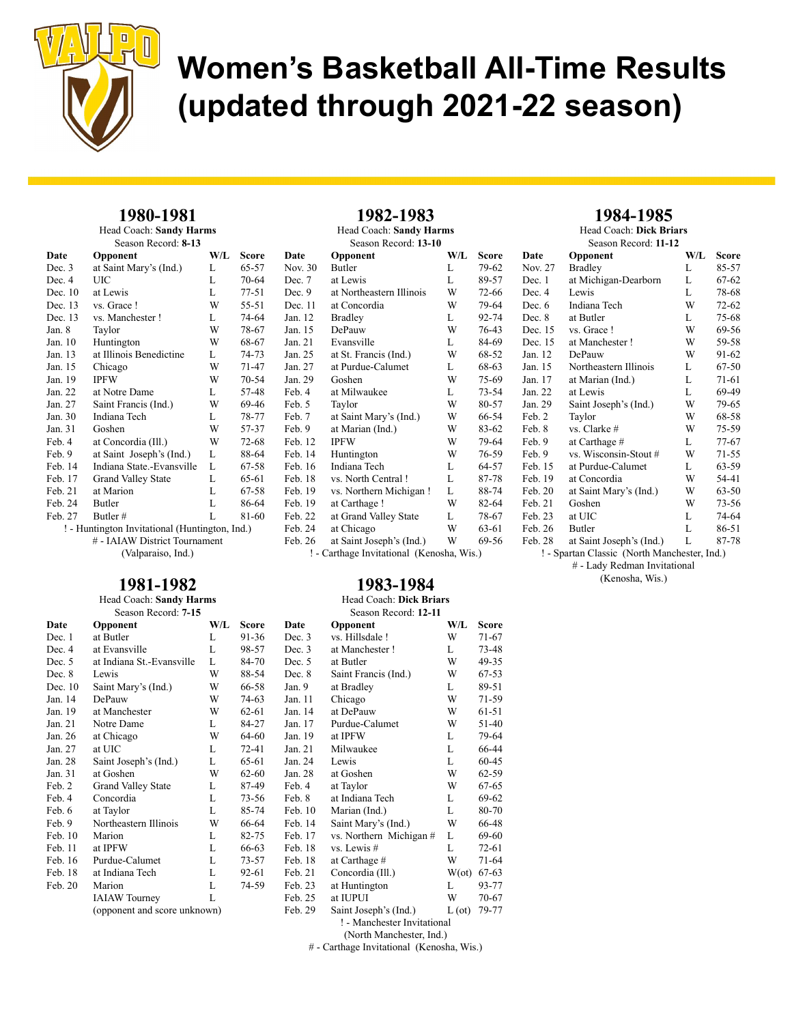

## 1980-1981

Head Coach: Sandy Harms Season Record: 8-13

| Date      | Opponent                                                 | W/L | <b>Score</b> | D  |
|-----------|----------------------------------------------------------|-----|--------------|----|
| Dec. 3    | at Saint Mary's (Ind.)                                   | L   | 65-57        | N  |
| Dec. 4    | UIC                                                      | L   | 70-64        | D  |
| Dec. $10$ | at Lewis                                                 | L   | $77 - 51$    | D  |
| Dec. 13   | vs. Grace !                                              | W   | 55-51        | D  |
| Dec. 13   | vs. Manchester !                                         | L   | 74-64        | Ja |
| Jan. 8    | Taylor                                                   | W   | 78-67        | Ja |
| Jan. 10   | Huntington                                               | W   | 68-67        | Ja |
| Jan. 13   | at Illinois Benedictine                                  | L   | 74-73        | Ja |
| Jan. 15   | Chicago                                                  | W   | 71-47        | Ja |
| Jan. 19   | <b>IPFW</b>                                              | W   | 70-54        | Ja |
| Jan. 22   | at Notre Dame                                            | L   | 57-48        | F٥ |
| Jan. 27   | Saint Francis (Ind.)                                     | W   | 69-46        | F٥ |
| Jan. 30   | Indiana Tech                                             | L   | 78-77        | F٥ |
| Jan. 31   | Goshen                                                   | W   | 57-37        | F٥ |
| Feb. 4    | at Concordia (Ill.)                                      | W   | $72 - 68$    | F٥ |
| Feb. 9    | at Saint Joseph's (Ind.)                                 | L   | 88-64        | F٥ |
| Feb. 14   | Indiana State.-Evansville                                | L   | 67-58        | F٥ |
| Feb. 17   | <b>Grand Valley State</b>                                | L   | 65-61        | F٥ |
| Feb. 21   | at Marion                                                | L   | 67-58        | F٥ |
| Feb. 24   | Butler                                                   | L   | 86-64        | F٥ |
| Feb. 27   | Butler#                                                  | L   | 81-60        | F٥ |
|           | $\blacksquare$ Uuntington Invitational (Uuntington Ind.) |     |              | Е. |

! - Huntington Invitational (Huntington, Ind.) # - IAIAW District Tournament (Valparaiso, Ind.)

## 1981-1982

#### Head Coach: Sandy Harms Season Record: 7-15

| Date      | Opponent                     | W/L | <b>Score</b> | Dat  |
|-----------|------------------------------|-----|--------------|------|
| Dec. 1    | at Butler                    | L   | 91-36        | Dec  |
| Dec. 4    | at Evansville                | L   | 98-57        | Dec  |
| Dec. $5$  | at Indiana St.-Evansville    | L   | 84-70        | Dec  |
| Dec. 8    | Lewis                        | W   | 88-54        | Dec  |
| Dec. $10$ | Saint Mary's (Ind.)          | W   | 66-58        | Jan. |
| Jan. 14   | DePauw                       | W   | 74-63        | Jan. |
| Jan. 19   | at Manchester                | W   | $62 - 61$    | Jan. |
| Jan. 21   | Notre Dame                   | L   | 84-27        | Jan. |
| Jan. 26   | at Chicago                   | W   | 64-60        | Jan. |
| Jan. 27   | at UIC                       | L   | $72 - 41$    | Jan. |
| Jan. 28   | Saint Joseph's (Ind.)        | L   | 65-61        | Jan. |
| Jan. 31   | at Goshen                    | W   | $62 - 60$    | Jan. |
| Feb. 2    | <b>Grand Valley State</b>    | L   | 87-49        | Feb  |
| Feb. 4    | Concordia                    | L   | 73-56        | Feb  |
| Feb. 6    | at Taylor                    | L   | 85-74        | Feb  |
| Feb. 9    | Northeastern Illinois        | W   | 66-64        | Feb  |
| Feb.10    | Marion                       | L   | 82-75        | Feb  |
| Feb. 11   | at IPFW                      | L   | 66-63        | Feb  |
| Feb. 16   | Purdue-Calumet               | L   | 73-57        | Feb  |
| Feb. 18   | at Indiana Tech              | L   | 92-61        | Feb  |
| Feb. 20   | Marion                       | L   | 74-59        | Feb  |
|           | <b>IAIAW</b> Tourney         | L   |              | Feb  |
|           | (opponent and score unknown) |     |              | Feb  |
|           |                              |     |              |      |

## 1982-1983

| Head Coach: Sandy Harms<br>Season Record: 13-10 |                                           |     |           |  |
|-------------------------------------------------|-------------------------------------------|-----|-----------|--|
| Date                                            | Opponent                                  | W/L | Score     |  |
| Nov. 30                                         | Butler                                    | L   | 79-62     |  |
| Dec. 7                                          | at Lewis                                  | L   | 89-57     |  |
| Dec. 9                                          | at Northeastern Illinois                  | W   | 72-66     |  |
| Dec. 11                                         | at Concordia                              | W   | 79-64     |  |
| Jan. 12                                         | <b>Bradley</b>                            | L   | 92-74     |  |
| Jan. 15                                         | DePauw                                    | W   | 76-43     |  |
| Jan. 21                                         | Evansville                                | L   | 84-69     |  |
| Jan. 25                                         | at St. Francis (Ind.)                     | W   | 68-52     |  |
| Jan. 27                                         | at Purdue-Calumet                         | L   | 68-63     |  |
| Jan. 29                                         | Goshen                                    | W   | 75-69     |  |
| Feb. 4                                          | at Milwaukee                              | L   | $73 - 54$ |  |
| Feb. 5                                          | Taylor                                    | W   | 80-57     |  |
| Feb. 7                                          | at Saint Mary's (Ind.)                    | W   | 66-54     |  |
| Feb. 9                                          | at Marian (Ind.)                          | W   | 83-62     |  |
| Feb. 12                                         | <b>IPFW</b>                               | W   | 79-64     |  |
| Feb. 14                                         | Huntington                                | W   | 76-59     |  |
| Feb. 16                                         | Indiana Tech                              | L   | 64-57     |  |
| Feb. 18                                         | vs. North Central!                        | L   | 87-78     |  |
| Feb. 19                                         | vs. Northern Michigan!                    | L   | 88-74     |  |
| Feb. 19                                         | at Carthage !                             | W   | 82-64     |  |
| Feb. 22                                         | at Grand Valley State                     | L   | 78-67     |  |
| Feb. 24                                         | at Chicago                                | W   | 63-61     |  |
| Feb. 26                                         | at Saint Joseph's (Ind.)                  | W   | 69-56     |  |
|                                                 | ! - Carthage Invitational (Kenosha, Wis.) |     |           |  |

#### 1983-1984 Head Coach: Dick Briars

## Season Record: 12-11

| Score     | Date      | Opponent                    | W/L            | <b>Score</b> |
|-----------|-----------|-----------------------------|----------------|--------------|
| 91-36     | Dec. 3    | vs. Hillsdale!              | W              | $71-67$      |
| 98-57     | Dec. 3    | at Manchester!              | L              | 73-48        |
| 84-70     | Dec. 5    | at Butler                   | W              | 49-35        |
| 88-54     | Dec. 8    | Saint Francis (Ind.)        | W              | 67-53        |
| 66-58     | Jan. 9    | at Bradley                  | L              | 89-51        |
| 74-63     | Jan. 11   | Chicago                     | W              | 71-59        |
| $62 - 61$ | Jan. 14   | at DePauw                   | W              | 61-51        |
| 84-27     | Jan. 17   | Purdue-Calumet              | W              | 51-40        |
| 64-60     | Jan. 19   | at IPFW                     | L              | 79-64        |
| $72 - 41$ | Jan. $21$ | Milwaukee                   | L              | 66-44        |
| 65-61     | Jan. 24   | Lewis                       | L              | $60 - 45$    |
| $62 - 60$ | Jan. 28   | at Goshen                   | W              | $62 - 59$    |
| 87-49     | Feb. 4    | at Taylor                   | W              | 67-65        |
| 73-56     | Feb. 8    | at Indiana Tech             | L              | 69-62        |
| 85-74     | Feb. 10   | Marian (Ind.)               | L              | 80-70        |
| 66-64     | Feb. 14   | Saint Mary's (Ind.)         | W              | 66-48        |
| 82-75     | Feb. 17   | vs. Northern Michigan #     | L              | 69-60        |
| 66-63     | Feb. 18   | $vs.$ Lewis $#$             | L              | 72-61        |
| 73-57     | Feb. 18   | at Carthage #               | W              | 71-64        |
| 92-61     | Feb. 21   | Concordia (Ill.)            | $W(\text{ot})$ | $67 - 63$    |
| 74-59     | Feb. 23   | at Huntington               | L              | 93-77        |
|           | Feb. 25   | at IUPUI                    | W              | 70-67        |
|           | Feb. 29   | Saint Joseph's (Ind.)       | $L(\sigma t)$  | 79-77        |
|           |           | ! - Manchester Invitational |                |              |
|           |           |                             |                |              |

(North Manchester, Ind.)

# - Carthage Invitational (Kenosha, Wis.)

### 1984-1985

Head Coach: Dick Briars

| Season Record: 11-12 |                          |     |           |  |
|----------------------|--------------------------|-----|-----------|--|
| Date                 | Opponent                 | W/L | Score     |  |
| Nov. 27              | <b>Bradley</b>           | L   | 85-57     |  |
| Dec. 1               | at Michigan-Dearborn     | L   | 67-62     |  |
| Dec. 4               | Lewis                    | L   | 78-68     |  |
| Dec. $6$             | Indiana Tech             | W   | $72 - 62$ |  |
| Dec. 8               | at Butler                | L   | 75-68     |  |
| Dec. 15              | vs. Grace !              | W   | 69-56     |  |
| Dec. 15              | at Manchester!           | W   | 59-58     |  |
| Jan. 12              | DePauw                   | W   | 91-62     |  |
| Jan. 15              | Northeastern Illinois    | L   | 67-50     |  |
| Jan. 17              | at Marian (Ind.)         | L   | 71-61     |  |
| Jan. 22              | at Lewis                 | L   | 69-49     |  |
| Jan. 29              | Saint Joseph's (Ind.)    | W   | 79-65     |  |
| Feb. 2               | Taylor                   | W   | 68-58     |  |
| Feb. 8               | vs. Clarke #             | W   | 75-59     |  |
| Feb. 9               | at Carthage #            | L   | $77 - 67$ |  |
| Feb. 9               | vs. Wisconsin-Stout #    | W   | $71 - 55$ |  |
| Feb. 15              | at Purdue-Calumet        | L   | 63-59     |  |
| Feb. 19              | at Concordia             | W   | 54-41     |  |
| Feb. 20              | at Saint Mary's (Ind.)   | W   | 63-50     |  |
| Feb. 21              | Goshen                   | W   | $73 - 56$ |  |
| Feb. 23              | at UIC                   | L   | 74-64     |  |
| Feb. 26              | Butler                   | L   | 86-51     |  |
| Feb 28               | at Saint Iosenh's (Ind.) | T   | 87-78     |  |

aint Joseph's (Ind.)

! - Spartan Classic (North Manchester, Ind.) # - Lady Redman Invitational (Kenosha, Wis.)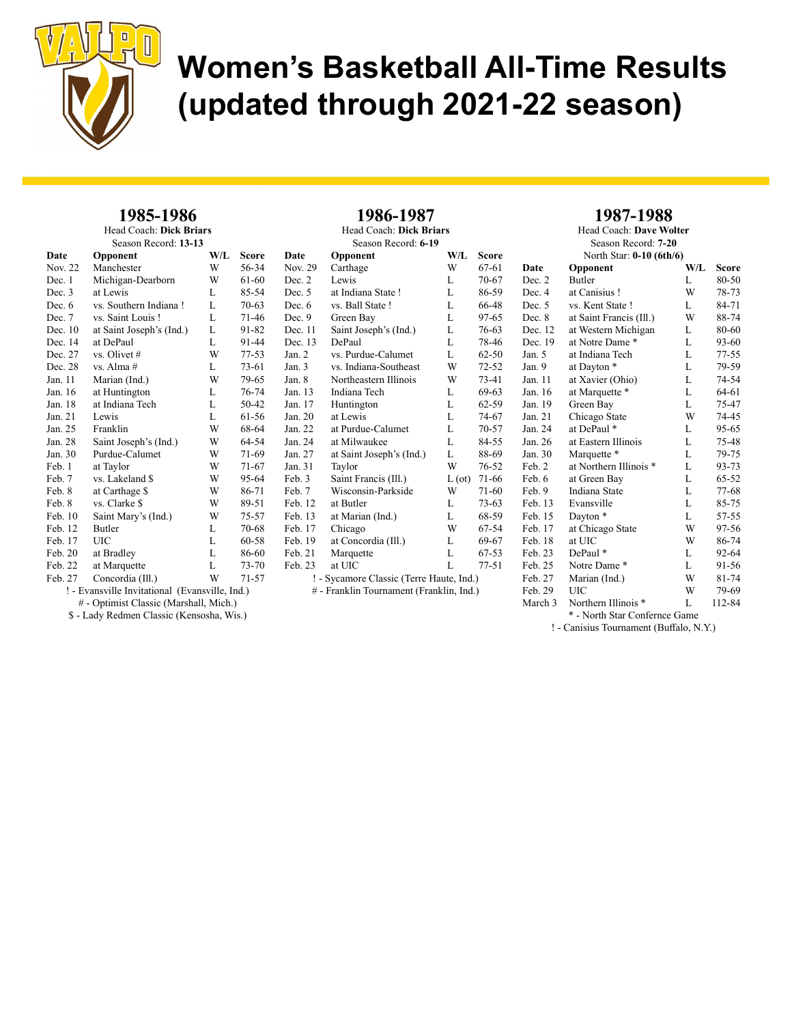

#### 1985-1986 Head Coach: Dick Briars

Season Record: 13-13

| Date     | Opponent                                       | W/L | Score     | Date                |
|----------|------------------------------------------------|-----|-----------|---------------------|
| Nov. 22  | Manchester                                     | W   | 56-34     | Nov. $2$            |
| Dec. 1   | Michigan-Dearborn                              | W   | 61-60     | Dec. 2              |
| Dec. 3   | at Lewis                                       | L   | 85-54     | Dec. 5              |
| Dec. $6$ | vs. Southern Indiana!                          | L   | 70-63     | Dec. $6$            |
| Dec. 7   | vs. Saint Louis!                               | L   | 71-46     | Dec.9               |
| Dec. 10  | at Saint Joseph's (Ind.)                       | L   | 91-82     | Dec.1               |
| Dec. 14  | at DePaul                                      | L   | 91-44     | Dec. 1.             |
| Dec. 27  | vs. Olivet #                                   | W   | 77-53     | Jan. 2              |
| Dec. 28  | vs. Alma #                                     | L   | 73-61     | Jan. $3$            |
| Jan. 11  | Marian (Ind.)                                  | W   | 79-65     | Jan. 8              |
| Jan. 16  | at Huntington                                  | L   | 76-74     | Jan. 13             |
| Jan. 18  | at Indiana Tech                                | L   | 50-42     | Jan. 17             |
| Jan. 21  | Lewis                                          | L   | 61-56     | Jan. 20             |
| Jan. 25  | Franklin                                       | W   | 68-64     | Jan. 22             |
| Jan. 28  | Saint Joseph's (Ind.)                          | W   | 64-54     | Jan. 24             |
| Jan. 30  | Purdue-Calumet                                 | W   | 71-69     | Jan. 27             |
| Feb. 1   | at Taylor                                      | W   | 71-67     | Jan. 31             |
| Feb. 7   | vs. Lakeland \$                                | W   | 95-64     | Feb. 3              |
| Feb. 8   | at Carthage \$                                 | W   | 86-71     | Feb. 7              |
| Feb. 8   | vs. Clarke \$                                  | W   | 89-51     | Feb. 12             |
| Feb. 10  | Saint Mary's (Ind.)                            | W   | 75-57     | Feb. 13             |
| Feb. 12  | Butler                                         | L   | 70-68     | Feb. 1 <sup>'</sup> |
| Feb. 17  | <b>UIC</b>                                     | L   | $60 - 58$ | Feb. $19$           |
| Feb. 20  | at Bradley                                     | L   | 86-60     | Feb. $2$            |
| Feb. 22  | at Marquette                                   | L   | 73-70     | Feb. 23             |
| Feb. 27  | Concordia (Ill.)                               | W   | 71-57     |                     |
|          | ! - Evansville Invitational (Evansville, Ind.) |     |           |                     |

Head Coach: Dick Briars Season Record: 6-19 **Opponent W/L Score**<br>Carthage W 67-61 Physical Carthage W 67-61 Lewis  $L = 70-67$ at Indiana State ! L 86-59<br>vs. Ball State ! L 66-48 vs. Ball State ! L Green Bay L 97-65 1 Saint Joseph's (Ind.) L 76-63 3 DePaul L 78-46 vs. Purdue-Calumet L 62-50<br>vs. Indiana-Southeast W 72-52 vs. Indiana-Southeast W 72-52<br>Northeastern Illinois W 73-41 Northeastern Illinois Indiana Tech L 69-63 Huntington L 62-59 at Lewis L 74-67 at Purdue-Calumet L 70-57<br>at Milwaukee L 84-55 at Milwaukee L 84-55<br>at Saint Joseph's (Ind.) L 88-69 at Saint Joseph's (Ind.) L Taylor W 76-52 Saint Francis (Ill.)  $L (ot)$  71-66 Wisconsin-Parkside W 71-60<br>at Butler L 73-63 2 at Butler L at Marian (Ind.)  $L = 68-59$ Chicago W 67-54<br>at Concordia (III.) L 69-67 9 at Concordia (Ill.) L 69-67<br>1 Marquette L 67-53 Marquette at UIC L 77-51 ! - Sycamore Classic (Terre Haute, Ind.) # - Franklin Tournament (Franklin, Ind.)

1986-1987

### 1987-1988

Head Coach: Dave Wolter Season Record: 7-20

| North Star: 0-10 (6th/6) |                         |     |           |  |
|--------------------------|-------------------------|-----|-----------|--|
| Date                     | Opponent                | W/L | Score     |  |
| Dec. 2                   | <b>Butler</b>           | L   | 80-50     |  |
| Dec. 4                   | at Canisius!            | W   | 78-73     |  |
| Dec. 5                   | vs. Kent State!         | L   | 84-71     |  |
| Dec. 8                   | at Saint Francis (Ill.) | W   | 88-74     |  |
| Dec. 12                  | at Western Michigan     | L   | 80-60     |  |
| Dec. 19                  | at Notre Dame*          | L   | 93-60     |  |
| Jan. 5                   | at Indiana Tech         | L   | $77 - 55$ |  |
| Jan. 9                   | at Dayton *             | L   | 79-59     |  |
| Jan. 11                  | at Xavier (Ohio)        | L   | 74-54     |  |
| Jan. 16                  | at Marquette *          | L   | 64-61     |  |
| Jan. 19                  | Green Bay               | L   | 75-47     |  |
| Jan. 21                  | Chicago State           | W   | 74-45     |  |
| Jan. 24                  | at DePaul *             | L   | 95-65     |  |
| Jan. 26                  | at Eastern Illinois     | L   | 75-48     |  |
| Jan. 30                  | Marquette *             | L   | 79-75     |  |
| Feb. 2                   | at Northern Illinois *  | L   | 93-73     |  |
| Feb. 6                   | at Green Bay            | L   | 65-52     |  |
| Feb. 9                   | <b>Indiana State</b>    | L   | 77-68     |  |
| Feb. 13                  | Evansville              | L   | 85-75     |  |
| Feb. 15                  | Dayton <sup>*</sup>     | L   | 57-55     |  |
| Feb. 17                  | at Chicago State        | W   | 97-56     |  |
| Feb. 18                  | at UIC                  | W   | 86-74     |  |
| Feb. 23                  | DePaul *                | L   | 92-64     |  |
| Feb. 25                  | Notre Dame*             | L   | 91-56     |  |
| Feb. 27                  | Marian (Ind.)           | W   | 81-74     |  |
| Feb. 29                  | UІС                     | W   | 79-69     |  |
| March 3                  | Northern Illinois *     | L   | 112-84    |  |

# - Optimist Classic (Marshall, Mich.) \$ - Lady Redmen Classic (Kensosha, Wis.)

\* - North Star Confernce Game

! - Canisius Tournament (Buffalo, N.Y.)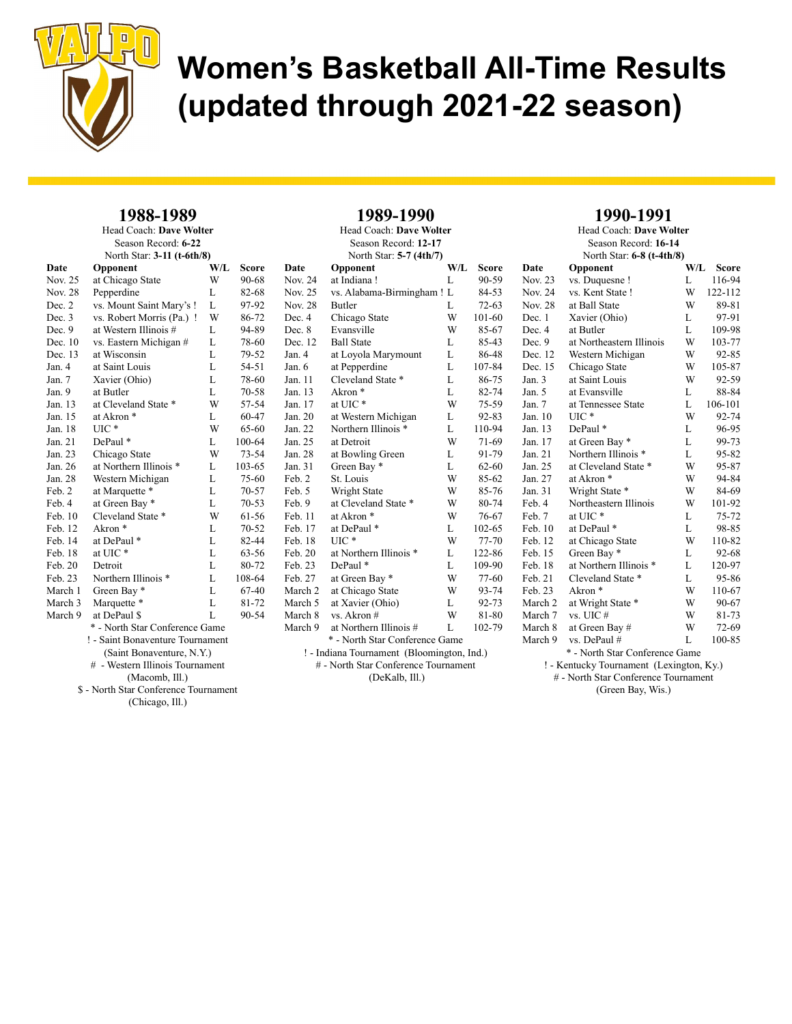

#### 1988-1989 Head Coach: Dave Wolter

| Season Record: 6-22        |                                  |     |           |     |
|----------------------------|----------------------------------|-----|-----------|-----|
| North Star: 3-11 (t-6th/8) |                                  |     |           |     |
| Date                       | Opponent                         | W/L | Score     | Dа  |
| Nov. 25                    | at Chicago State                 | W   | 90-68     | No  |
| Nov. 28                    | Pepperdine                       | L   | 82-68     | No  |
| Dec. 2                     | vs. Mount Saint Mary's !         | L   | 97-92     | No  |
| Dec. 3                     | vs. Robert Morris (Pa.) !        | W   | 86-72     | De  |
| Dec. 9                     | at Western Illinois #            | L   | 94-89     | De  |
| Dec. 10                    | vs. Eastern Michigan #           | L   | 78-60     | De  |
| Dec. 13                    | at Wisconsin                     | L   | 79-52     | Jar |
| Jan. 4                     | at Saint Louis                   | L   | 54-51     | Jar |
| Jan. 7                     | Xavier (Ohio)                    | L   | 78-60     | Jar |
| Jan. $9$                   | at Butler                        | L   | 70-58     | Jar |
| Jan. 13                    | at Cleveland State *             | W   | 57-54     | Jar |
| Jan. 15                    | at Akron <sup>*</sup>            | L   | 60-47     | Jar |
| Jan. 18                    | UIC*                             | W   | 65-60     | Jar |
| Jan. 21                    | DePaul*                          | L   | 100-64    | Jar |
| Jan. 23                    | Chicago State                    | W   | $73 - 54$ | Jar |
| Jan. 26                    | at Northern Illinois *           | L   | 103-65    | Jar |
| Jan. 28                    | Western Michigan                 | L   | 75-60     | Fel |
| Feb. 2                     | at Marquette *                   | L   | 70-57     | Fel |
| Feb. 4                     | at Green Bay *                   | L   | $70 - 53$ | Fel |
| Feb.10                     | Cleveland State *                | W   | 61-56     | Fel |
| Feb. 12                    | Akron*                           | L   | $70 - 52$ | Fel |
| Feb. 14                    | at DePaul*                       | L   | 82-44     | Fel |
| Feb. 18                    | at UIC*                          | L   | 63-56     | Fel |
| Feb. 20                    | Detroit                          | L   | 80-72     | Fel |
| Feb. 23                    | Northern Illinois *              | L   | 108-64    | Fel |
| March 1                    | Green Bay *                      | L   | 67-40     | Ma  |
| March 3                    | Marquette *                      | L   | 81-72     | Mε  |
| March 9                    | at DePaul \$                     | L   | 90-54     | Mε  |
|                            | * - North Star Conference Game   |     |           | Ma  |
|                            | ! - Saint Bonaventure Tournament |     |           |     |
|                            | (Saint Bonaventure, N.Y.)        |     |           |     |
|                            | # - Western Illinois Tournament  |     |           |     |
|                            |                                  |     |           |     |

(Macomb, Ill.)

\$ - North Star Conference Tournament

(Chicago, Ill.)

| 1989-1990 |
|-----------|
|-----------|

| Head Coach: Dave Wolter                    |                                      |     |           |  |  |
|--------------------------------------------|--------------------------------------|-----|-----------|--|--|
|                                            | Season Record: 12-17                 |     |           |  |  |
|                                            | North Star: 5-7 (4th/7)              |     |           |  |  |
| Date                                       | Opponent                             | W/L | Score     |  |  |
| Nov. 24                                    | at Indiana!                          | L   | 90-59     |  |  |
| Nov. 25                                    | vs. Alabama-Birmingham! L            |     | 84-53     |  |  |
| <b>Nov. 28</b>                             | Butler                               | L   | $72 - 63$ |  |  |
| Dec. 4                                     | Chicago State                        | W   | 101-60    |  |  |
| Dec. 8                                     | Evansville                           | W   | 85-67     |  |  |
| Dec. 12                                    | <b>Ball State</b>                    | L   | 85-43     |  |  |
| Jan. 4                                     | at Loyola Marymount                  | L   | 86-48     |  |  |
| Jan. 6                                     | at Pepperdine                        | L   | 107-84    |  |  |
| Jan. 11                                    | Cleveland State *                    | L   | 86-75     |  |  |
| Jan. 13                                    | Akron <sup>*</sup>                   | L   | 82-74     |  |  |
| Jan. 17                                    | at UIC*                              | W   | 75-59     |  |  |
| Jan. 20                                    | at Western Michigan                  | L   | $92 - 83$ |  |  |
| Jan. 22                                    | Northern Illinois *                  | L   | 110-94    |  |  |
| Jan. 25                                    | at Detroit                           | W   | 71-69     |  |  |
| Jan. 28                                    | at Bowling Green                     | L   | 91-79     |  |  |
| Jan. 31                                    | Green Bay *                          | L   | $62 - 60$ |  |  |
| Feb. 2                                     | St. Louis                            | W   | $85 - 62$ |  |  |
| Feb. 5                                     | Wright State                         | W   | 85-76     |  |  |
| Feb. 9                                     | at Cleveland State *                 | W   | 80-74     |  |  |
| Feb. 11                                    | at Akron <sup>*</sup>                | W   | 76-67     |  |  |
| Feb. 17                                    | at DePaul *                          | L   | 102-65    |  |  |
| Feb. 18                                    | $UL^*$                               | W   | 77-70     |  |  |
| Feb. 20                                    | at Northern Illinois *               | L   | 122-86    |  |  |
| Feb. 23                                    | DePaul*                              | L   | 109-90    |  |  |
| Feb. 27                                    | at Green Bay *                       | W   | 77-60     |  |  |
| March 2                                    | at Chicago State                     | W   | 93-74     |  |  |
| March 5                                    | at Xavier (Ohio)                     | L   | 92-73     |  |  |
| March 8                                    | vs. Akron #                          | W   | 81-80     |  |  |
| March 9                                    | at Northern Illinois #               | L   | 102-79    |  |  |
|                                            | * - North Star Conference Game       |     |           |  |  |
| ! - Indiana Tournament (Bloomington, Ind.) |                                      |     |           |  |  |
|                                            | # - North Star Conference Tournament |     |           |  |  |
|                                            | (DeKalb, Ill.)                       |     |           |  |  |
|                                            |                                      |     |           |  |  |

#### 1990-1991

Head Coach: Dave Wolter Season Record: 16-14 North Star: 6-8 (t-4th/8) Date Opponent W/L Score Nov. 23 vs. Duquesne ! L 116-94 Nov. 24 vs. Kent State ! W 122-112<br>Nov. 28 at Ball State W 89-81 at Ball State Dec. 1 Xavier (Ohio) L 97-91 Dec. 4 at Butler L 109-98 Dec. 9 at Northeastern Illinois W 103-77 Dec. 12 Western Michigan W 92-85<br>Dec. 15 Chicago State W 105-87 Dec. 15 Chicago State W Jan. 3 at Saint Louis W 92-59 Jan. 5 at Evansville L 88-84 Jan. 7 at Tennessee State L 106-101 Jan. 10 UIC \* W 92-74 Jan. 13 DePaul \* L 96-95<br>
Jan. 17 at Green Bay \* L 99-73 Jan. 17 at Green Bay \* L 99-73<br>Jan. 21 Northern Illinois \* L 95-82 Northern Illinois \* L Jan. 25 at Cleveland State \* W 95-87 Jan. 27 at Akron \* W 94-84 Jan. 31 Wright State \* W 84-69 Feb. 4 Northeastern Illinois W 101-92 Feb. 7 at UIC \* L 75-72 Feb. 10 at DePaul \* L 98-85<br>Feb. 12 at Chicago State W 110-82 Feb. 12 at Chicago State W 110-82<br>Feb. 15 Green Bay \* L 92-68 Green Bay  $*$  L Feb. 18 at Northern Illinois \* L 120-97<br>Feb. 21 Cleveland State \* L 95-86 Cleveland State \* L 95-86 Feb. 23 Akron \* W 110-67 March 2 at Wright State \* W 90-67<br>March 7 vs. UIC # W 81-73 March 7 vs. UIC  $#$  W 81-73 March 8 at Green Bay # W 72-69<br>March 9 vs. DePaul # L 100-85 March 9 vs. DePaul # L 100-85 \* - North Star Conference Game ! - Kentucky Tournament (Lexington, Ky.)

# - North Star Conference Tournament (Green Bay, Wis.)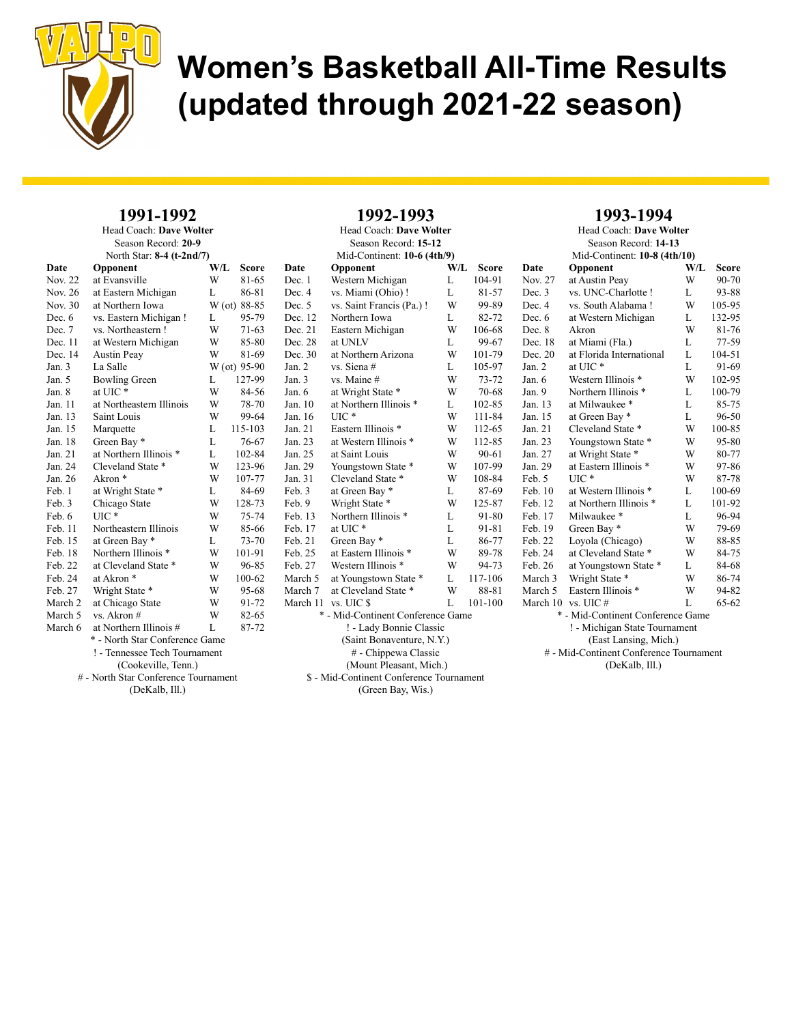

#### 1991-1992 Head Coach: Dave Wolter

| Season Record: 20-9       |                                      |     |              |          |  |
|---------------------------|--------------------------------------|-----|--------------|----------|--|
| North Star: 8-4 (t-2nd/7) |                                      |     |              |          |  |
| Date                      | Opponent                             | W/L | Score        | D        |  |
| Nov. 22                   | at Evansville                        | W   | 81-65        | E        |  |
| Nov. 26                   | at Eastern Michigan                  | L   | 86-81        | $\Gamma$ |  |
| Nov. 30                   | at Northern Iowa                     |     | W (ot) 88-85 | Ľ        |  |
| Dec. 6                    | vs. Eastern Michigan!                | L   | 95-79        | Ľ        |  |
| Dec. 7                    | vs. Northeastern !                   | W   | $71 - 63$    | Ľ        |  |
| Dec. 11                   | at Western Michigan                  | W   | 85-80        | Ľ        |  |
| Dec. 14                   | <b>Austin Peay</b>                   | W   | 81-69        | Ľ        |  |
| Jan.3                     | La Salle                             |     | W (ot) 95-90 | J,       |  |
| Jan. 5                    | <b>Bowling Green</b>                 | L   | 127-99       | $J_i$    |  |
| Jan. 8                    | at UIC*                              | W   | 84-56        | $J_i$    |  |
| Jan. 11                   | at Northeastern Illinois             | W   | 78-70        | $J_i$    |  |
| Jan. 13                   | Saint Louis                          | W   | 99-64        | J,       |  |
| Jan. 15                   | Marquette                            | L   | 115-103      | $J_i$    |  |
| Jan. 18                   | Green Bay *                          | L   | 76-67        | J.       |  |
| Jan. 21                   | at Northern Illinois *               | L   | 102-84       | J.       |  |
| Jan. 24                   | Cleveland State *                    | W   | 123-96       | J        |  |
| Jan. 26                   | Akron <sup>*</sup>                   | W   | 107-77       | J        |  |
| Feb. 1                    | at Wright State *                    | L   | 84-69        | F        |  |
| Feb. 3                    | Chicago State                        | W   | 128-73       | F        |  |
| Feb. 6                    | $UIC*$                               | W   | 75-74        | F        |  |
| Feb. 11                   | Northeastern Illinois                | W   | 85-66        | F        |  |
| Feb. 15                   | at Green Bay *                       | L   | 73-70        | F        |  |
| Feb. 18                   | Northern Illinois *                  | W   | 101-91       | F        |  |
| Feb. 22                   | at Cleveland State *                 | W   | 96-85        | F        |  |
| Feb. 24                   | at Akron*                            | W   | 100-62       | N        |  |
| Feb. 27                   | Wright State *                       | W   | 95-68        | N        |  |
| March 2                   | at Chicago State                     | W   | 91-72        | N        |  |
| March 5                   | vs. Akron #                          | W   | 82-65        |          |  |
| March 6                   | at Northern Illinois #               | L   | 87-72        |          |  |
|                           | * - North Star Conference Game       |     |              |          |  |
|                           | ! - Tennessee Tech Tournament        |     |              |          |  |
|                           | (Cookeville, Tenn.)                  |     |              |          |  |
|                           | # - North Star Conference Tournament |     |              |          |  |
|                           | (DeKalb, Ill.)                       |     |              |          |  |

| Season Record: 15-12        |                                          |     |              |  |
|-----------------------------|------------------------------------------|-----|--------------|--|
| Mid-Continent: 10-6 (4th/9) |                                          |     |              |  |
| Date                        | Opponent                                 | W/L | <b>Score</b> |  |
| Dec. 1                      | Western Michigan                         | L   | 104-91       |  |
| Dec. 4                      | vs. Miami (Ohio)!                        | L   | 81-57        |  |
| Dec. 5                      | vs. Saint Francis (Pa.) !                | W   | 99-89        |  |
| Dec. 12                     | Northern Iowa                            | L   | 82-72        |  |
| Dec. 21                     | Eastern Michigan                         | W   | 106-68       |  |
| Dec. 28                     | at UNLV                                  | L   | 99-67        |  |
| Dec. 30                     | at Northern Arizona                      | W   | 101-79       |  |
| Jan. 2                      | vs. Siena #                              | L   | 105-97       |  |
| Jan. 3                      | vs. Maine #                              | W   | 73-72        |  |
| Jan. 6                      | at Wright State *                        | W   | 70-68        |  |
| Jan. 10                     | at Northern Illinois *                   | L   | 102-85       |  |
| Jan. 16                     | UIC *                                    | W   | 111-84       |  |
| Jan. 21                     | Eastern Illinois *                       | W   | 112-65       |  |
| Jan. 23                     | at Western Illinois *                    | W   | 112-85       |  |
| Jan. 25                     | at Saint Louis                           | W   | 90-61        |  |
| Jan. 29                     | Youngstown State *                       | W   | 107-99       |  |
| Jan. 31                     | Cleveland State *                        | W   | 108-84       |  |
| Feb. 3                      | at Green Bay *                           | L   | 87-69        |  |
| Feb. 9                      | Wright State *                           | W   | 125-87       |  |
| Feb. 13                     | Northern Illinois *                      | L   | 91-80        |  |
| Feb. 17                     | at UIC*                                  | L   | 91-81        |  |
| Feb. 21                     | Green Bay *                              | L   | 86-77        |  |
| Feb. 25                     | at Eastern Illinois *                    | W   | 89-78        |  |
| Feb. 27                     | Western Illinois *                       | W   | 94-73        |  |
| March 5                     | at Youngstown State *                    | L   | 117-106      |  |
| March 7                     | at Cleveland State *                     | W   | 88-81        |  |
| March 11                    | vs. UIC \$                               | L   | 101-100      |  |
|                             | * - Mid-Continent Conference Game        |     |              |  |
|                             | ! - Lady Bonnie Classic                  |     |              |  |
|                             | (Saint Bonaventure, N.Y.)                |     |              |  |
|                             | # - Chippewa Classic                     |     |              |  |
|                             | (Mount Pleasant, Mich.)                  |     |              |  |
|                             | \$ - Mid-Continent Conference Tournament |     |              |  |
|                             | (Green Bay, Wis.)                        |     |              |  |

1992-1993 Head Coach: Dave Wolter

#### 1993-1994

Head Coach: Dave Wolter Season Record: 14-13 Mid-Continent: 10-8 (4th/10) Date Opponent W/L Score Nov. 27 at Austin Peay W 90-70 Dec. 3 vs. UNC-Charlotte ! L 93-88<br>Dec. 4 vs. South Alabama ! W 105-95 vs. South Alabama ! Dec. 6 at Western Michigan L 132-95 Dec. 8 Akron W 81-76 Dec. 18 at Miami (Fla.) L 77-59 Dec. 20 at Florida International L 104-51 Jan. 2 at UIC  $*$  L 91-69 Jan. 6 Western Illinois \* W 102-95 Jan. 9 Northern Illinois \* L 100-79 Jan. 13 at Milwaukee \* L 85-75 Jan. 15 at Green Bay \* L 96-50 Jan. 21 Cleveland State \* W 100-85<br>Jan. 23 Youngstown State \* W 95-80 Jan. 23 Youngstown State \* W 95-80<br>Jan. 27 at Wright State \* W 80-77 at Wright State \* W Jan. 29 at Eastern Illinois \* W 97-86<br>Feb. 5 UIC \* W 87-78 Feb. 5 UIC \* W 87-78 Feb. 10 at Western Illinois \* L 100-69 Feb. 12 at Northern Illinois \* L 101-92 Feb. 17 Milwaukee \* L 96-94 Feb. 19 Green Bay \* W 79-69<br>Feb. 22 Lovola (Chicago) W 88-85 Feb. 22 Loyola (Chicago) W 88-85<br>Feb. 24 at Cleveland State \* W 84-75 at Cleveland State \* Feb. 26 at Youngstown State \* L 84-68<br>March 3 Wright State \* W 86-74 March 3 Wright State \* W March 5 Eastern Illinois \* W 94-82 March 10 vs. UIC  $#$  L 65-62 \* - Mid-Continent Conference Game ! - Michigan State Tournament (East Lansing, Mich.) # - Mid-Continent Conference Tournament (DeKalb, Ill.)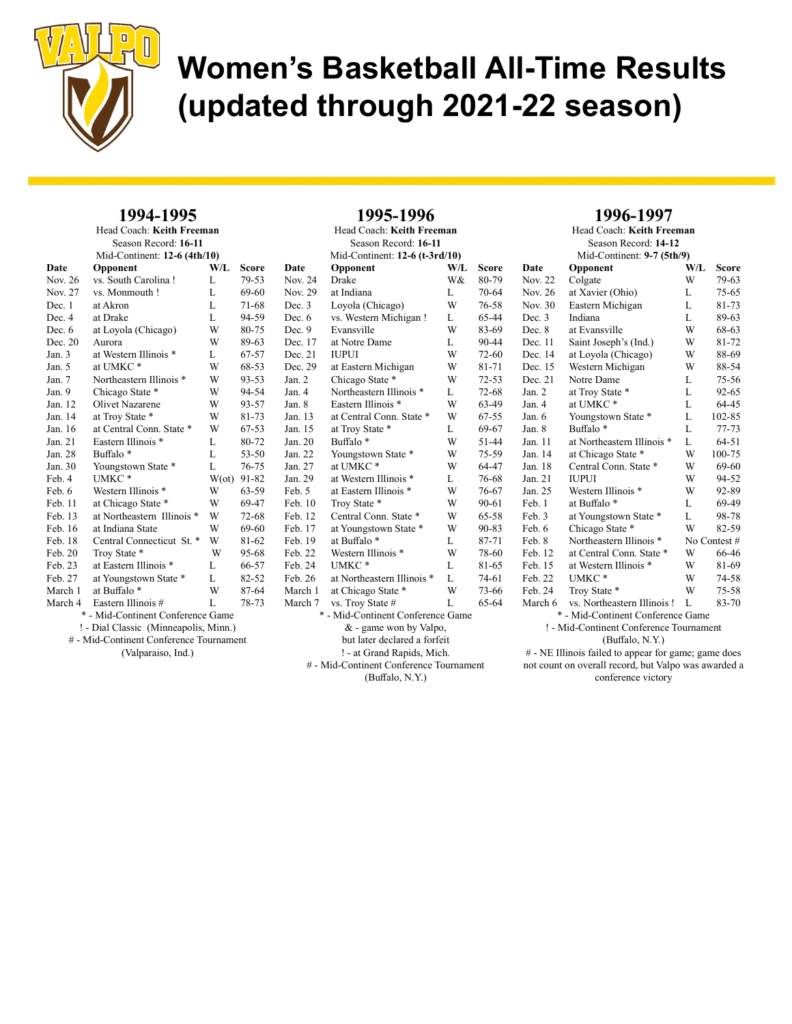

#### 1994-1995 Head Coach: Keith Freeman

| Season Record: 16-11         |                                         |               |           |  |
|------------------------------|-----------------------------------------|---------------|-----------|--|
| Mid-Continent: 12-6 (4th/10) |                                         |               |           |  |
| Date                         | Opponent                                | W/L           | Score     |  |
| Nov. 26                      | vs. South Carolina !                    | L             | 79-53     |  |
| Nov. 27                      | vs. Monmouth!                           | L             | 69-60     |  |
| Dec. 1                       | at Akron                                | L             | 71-68     |  |
| Dec. 4                       | at Drake                                | L.            | 94-59     |  |
| Dec. 6                       | at Loyola (Chicago)                     | W             | 80-75     |  |
| Dec. 20                      | Aurora                                  | W             | 89-63     |  |
| Jan.3                        | at Western Illinois *                   | L             | 67-57     |  |
| Jan. 5                       | at UMKC*                                | W             | 68-53     |  |
| Jan. 7                       | Northeastern Illinois *                 | W             | 93-53     |  |
| Jan. 9                       | Chicago State *                         | W             | 94-54     |  |
| Jan. 12                      | Olivet Nazarene                         | W             | 93-57     |  |
| Jan. 14                      | at Troy State *                         | W             | 81-73     |  |
| Jan. 16                      | at Central Conn. State *                | W             | 67-53     |  |
| Jan. 21                      | Eastern Illinois *                      | L             | 80-72     |  |
| Jan. 28                      | Buffalo <sup>*</sup>                    | L.            | $53 - 50$ |  |
| Jan. 30                      | Youngstown State *                      | L             | 76-75     |  |
| Feb. 4                       | UMKC*                                   | $W(\sigma t)$ | 91-82     |  |
| Feb. 6                       | Western Illinois *                      | W             | 63-59     |  |
| Feb. 11                      | at Chicago State *                      | W             | 69-47     |  |
| Feb. 13                      | at Northeastern Illinois *              | W             | 72-68     |  |
| Feb. 16                      | at Indiana State                        | W             | 69-60     |  |
| Feb. 18                      | Central Connecticut St. <sup>*</sup>    | W             | 81-62     |  |
| Feb. 20                      | Troy State *                            | W             | 95-68     |  |
| Feb. 23                      | at Eastern Illinois *                   | L             | 66-57     |  |
| Feb. 27                      | at Youngstown State *                   | L             | 82-52     |  |
| March 1                      | at Buffalo <sup>*</sup>                 | W             | 87-64     |  |
| March 4                      | Eastern Illinois #                      | L             | 78-73     |  |
|                              | * - Mid-Continent Conference Game       |               |           |  |
|                              | ! - Dial Classic (Minneapolis, Minn.)   |               |           |  |
|                              | # - Mid-Continent Conference Tournament |               |           |  |
| (Valparaiso, Ind.)           |                                         |               |           |  |

| Date                              | Opponent                     | W/L | Score     |  |  |
|-----------------------------------|------------------------------|-----|-----------|--|--|
| Nov. 24                           | Drake                        | W&  | 80-79     |  |  |
| Nov. 29                           | at Indiana                   | L   | 70-64     |  |  |
| Dec. 3                            | Loyola (Chicago)             | W   | 76-58     |  |  |
| Dec. 6                            | vs. Western Michigan!        | L   | 65-44     |  |  |
| Dec. 9                            | Evansville                   | W   | 83-69     |  |  |
| Dec. 17                           | at Notre Dame                | L   | 90-44     |  |  |
| Dec. 21                           | <b>IUPUI</b>                 | W   | 72-60     |  |  |
| Dec. 29                           | at Eastern Michigan          | W   | 81-71     |  |  |
| Jan. 2                            | Chicago State *              | W   | $72 - 53$ |  |  |
| Jan. 4                            | Northeastern Illinois *      | L   | $72 - 68$ |  |  |
| Jan. 8                            | Eastern Illinois *           | W   | 63-49     |  |  |
| Jan. 13                           | at Central Conn. State *     | W   | $67 - 55$ |  |  |
| Jan. 15                           | at Troy State *              | L   | 69-67     |  |  |
| Jan. 20                           | Buffalo <sup>*</sup>         | W   | 51-44     |  |  |
| Jan. 22                           | Youngstown State *           | W   | $75 - 59$ |  |  |
| Jan. 27                           | at UMKC*                     | W   | 64-47     |  |  |
| Jan. 29                           | at Western Illinois *        | L   | 76-68     |  |  |
| Feb. 5                            | at Eastern Illinois *        | W   | 76-67     |  |  |
| Feb. 10                           | Troy State *                 | W   | 90-61     |  |  |
| Feb. 12                           | Central Conn. State *        | W   | 65-58     |  |  |
| Feb. 17                           | at Youngstown State *        | W   | $90 - 83$ |  |  |
| Feb. 19                           | at Buffalo <sup>*</sup>      | L   | 87-71     |  |  |
| Feb. 22                           | Western Illinois *           | W   | 78-60     |  |  |
| Feb. 24                           | UMKC*                        | L   | 81-65     |  |  |
| Feb. 26                           | at Northeastern Illinois *   | L   | 74-61     |  |  |
| March 1                           | at Chicago State *           | W   | 73-66     |  |  |
| March 7                           | vs. Troy State #             | L   | 65-64     |  |  |
| * - Mid-Continent Conference Game |                              |     |           |  |  |
| & - game won by Valpo,            |                              |     |           |  |  |
|                                   | but later declared a forfeit |     |           |  |  |
| ! - at Grand Rapids, Mich.        |                              |     |           |  |  |

1995-1996 Head Coach: Keith Freeman Season Record: 16-11 Mid-Continent: 12-6 (t-3rd/10)

# - Mid-Continent Conference Tournament (Buffalo, N.Y.)

### 1996-1997

Head Coach: Keith Freeman Season Record: 14-12 Mid-Continent: 9-7 (5th/9) Date Opponent W/L Score Nov. 22 Colgate W 79-63 Nov. 26 at Xavier (Ohio) L 75-65<br>Nov. 30 Eastern Michigan L 81-73 Eastern Michigan L Dec. 3 Indiana L 89-63 Dec. 8 at Evansville W 68-63 Dec. 11 Saint Joseph's (Ind.) W 81-72 Dec. 14 at Loyola (Chicago) W 88-69<br>Dec. 15 Western Michigan W 88-54 Dec. 15 Western Michigan W Dec. 21 Notre Dame L 75-56 Jan. 2 at Troy State \* L 92-65 Jan. 4 at UMKC \* L 64-45 Jan. 6 Youngstown State \* L 102-85 Jan. 8 Buffalo \* L 77-73<br>Jan. 11 at Northeastern Illinois \* L 64-51 Jan. 11 at Northeastern Illinois \* L 64-51<br>Jan. 14 at Chicago State \* W 100-75 at Chicago State \* W Jan. 18 Central Conn. State \* W 69-60 Jan. 21 IUPUI W 94-52 Jan. 25 Western Illinois \* W 92-89<br>Feb. 1 at Buffalo \* L 69-49 Feb. 1 at Buffalo \* L 69-49<br>Feb. 3 at Youngstown State \* L 98-78 Feb. 3 at Youngstown State \* L Feb. 6 Chicago State \* W 82-59 Feb. 8 Northeastern Illinois \* No Contest #<br>Feb. 12 at Central Conn. State \* W 66-46 at Central Conn. State \* W 66-46 Feb. 15 at Western Illinois \* W 81-69<br>Feb. 22 UMKC \* W 74-58  $UMKC *$ Feb. 24 Troy State \* W 75-58 March 6 vs. Northeastern Illinois ! L 83-70 \* - Mid-Continent Conference Game ! - Mid-Continent Conference Tournament (Buffalo, N.Y.)

# - NE Illinois failed to appear for game; game does not count on overall record, but Valpo was awarded a conference victory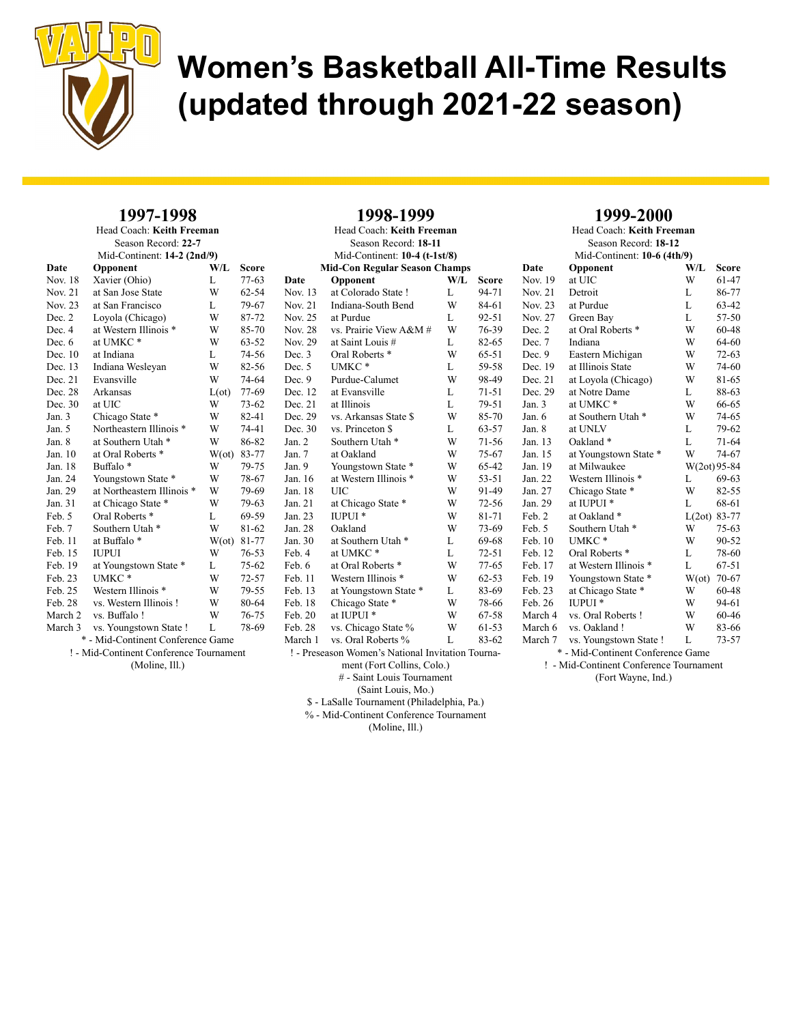

1998-1999

#### 1997-1998 Head Coach: Keith Freeman

| Head Coach: Keith Freeman<br>Season Record: 22-7<br>Mid-Continent: 14-2 (2nd/9) |                                         |                                                             |                     | Head Coach: Keith Freeman<br>Season Record: 18-11<br>Mid-Continent: $10-4$ (t-1st/8) |                    |                                                                         |              |              |
|---------------------------------------------------------------------------------|-----------------------------------------|-------------------------------------------------------------|---------------------|--------------------------------------------------------------------------------------|--------------------|-------------------------------------------------------------------------|--------------|--------------|
|                                                                                 | W/L<br>Date<br>Opponent<br><b>Score</b> |                                                             |                     |                                                                                      |                    | <b>Mid-Con Regular Season Champs</b>                                    |              |              |
|                                                                                 | Nov. 18                                 | Xavier (Ohio)                                               | L                   | $77-63$                                                                              | Date               | Opponent                                                                | W/L          | <b>Score</b> |
|                                                                                 | Nov. 21                                 | at San Jose State                                           | W                   | $62 - 54$                                                                            | Nov. 13            | at Colorado State!                                                      | L            | 94-71        |
|                                                                                 | Nov. 23                                 | at San Francisco                                            | L                   | 79-67                                                                                | Nov. 21            | Indiana-South Bend                                                      | W            | 84-61        |
|                                                                                 |                                         |                                                             | W                   | 87-72                                                                                | Nov. 25            | at Purdue                                                               | L            | $92 - 51$    |
|                                                                                 | Dec. 2<br>Dec. 4                        | Loyola (Chicago)<br>at Western Illinois *                   | W                   | 85-70                                                                                | Nov. 28            | vs. Prairie View A&M #                                                  | W            | 76-39        |
|                                                                                 | Dec. $6$                                | at UMKC*                                                    | W                   | $63 - 52$                                                                            | Nov. 29            | at Saint Louis #                                                        | L            | 82-65        |
|                                                                                 | Dec. 10                                 | at Indiana                                                  | L                   | 74-56                                                                                | Dec. 3             | Oral Roberts <sup>*</sup>                                               | W            | $65-51$      |
|                                                                                 | Dec. 13                                 |                                                             | W                   | 82-56                                                                                | Dec. 5             | UMKC*                                                                   | L            | 59-58        |
|                                                                                 | Dec. 21                                 | Indiana Wesleyan<br>Evansville                              | W                   | 74-64                                                                                | Dec.9              | Purdue-Calumet                                                          | W            | 98-49        |
|                                                                                 | Dec. 28                                 | Arkansas                                                    |                     | 77-69                                                                                | Dec. 12            | at Evansville                                                           | L            | $71 - 51$    |
|                                                                                 | Dec. 30                                 | at UIC                                                      | $L(\text{ot})$<br>W |                                                                                      | Dec. 21            | at Illinois                                                             | L            | 79-51        |
|                                                                                 | Jan. $3$                                |                                                             | W                   | 73-62<br>82-41                                                                       | Dec. 29            | vs. Arkansas State \$                                                   | W            | 85-70        |
|                                                                                 | Jan. 5                                  | Chicago State *<br>Northeastern Illinois *                  | W                   | 74-41                                                                                | Dec. 30            | vs. Princeton \$                                                        | L            | 63-57        |
|                                                                                 | Jan. 8                                  | at Southern Utah *                                          | W                   | 86-82                                                                                | Jan. $2$           | Southern Utah <sup>*</sup>                                              | W            | 71-56        |
|                                                                                 | Jan. 10                                 | at Oral Roberts *                                           | $W(\alpha t)$       | 83-77                                                                                | Jan. 7             | at Oakland                                                              | W            | 75-67        |
|                                                                                 | Jan. 18                                 | Buffalo <sup>*</sup>                                        | W                   | 79-75                                                                                | Jan. 9             |                                                                         | W            | 65-42        |
|                                                                                 | Jan. 24                                 |                                                             | W                   | 78-67                                                                                | Jan. 16            | Youngstown State *<br>at Western Illinois *                             | W            | $53 - 51$    |
|                                                                                 | Jan. 29                                 | Youngstown State *<br>at Northeastern Illinois *            | W                   | 79-69                                                                                | Jan. 18            | <b>UIC</b>                                                              | W            | 91-49        |
|                                                                                 | Jan. 31                                 |                                                             | W                   | 79-63                                                                                | Jan. 21            |                                                                         | W            | $72 - 56$    |
|                                                                                 | Feb. 5                                  | at Chicago State *<br>Oral Roberts <sup>*</sup>             | L                   | 69-59                                                                                | Jan. 23            | at Chicago State *<br>IUPUI <sup>*</sup>                                | W            | 81-71        |
|                                                                                 | Feb. 7                                  | Southern Utah <sup>*</sup>                                  | W                   | 81-62                                                                                | Jan. 28            | Oakland                                                                 | W            | 73-69        |
|                                                                                 |                                         | at Buffalo*                                                 |                     | 81-77                                                                                | Jan. 30            | at Southern Utah *                                                      |              | 69-68        |
|                                                                                 | Feb. 11<br>Feb. 15                      | <b>IUPUI</b>                                                | $W(\alpha t)$<br>W  | $76 - 53$                                                                            | Feb. 4             | at UMKC*                                                                | L<br>L       | $72 - 51$    |
|                                                                                 | Feb. 19                                 |                                                             | L                   | $75 - 62$                                                                            | Feb. 6             | at Oral Roberts *                                                       | W            | $77-65$      |
|                                                                                 | Feb. 23                                 | at Youngstown State *<br>UMKC*                              | W                   | $72 - 57$                                                                            | Feb. 11            | Western Illinois *                                                      | W            | $62 - 53$    |
|                                                                                 | Feb. 25                                 | Western Illinois *                                          | W                   | 79-55                                                                                | Feb. 13            |                                                                         | L            | 83-69        |
|                                                                                 |                                         | vs. Western Illinois!                                       | W                   | 80-64                                                                                |                    | at Youngstown State *                                                   | W            | 78-66        |
|                                                                                 | Feb. 28<br>March 2                      | vs. Buffalo!                                                | W                   | $76 - 75$                                                                            | Feb. 18<br>Feb. 20 | Chicago State *<br>at IUPUI <sup>*</sup>                                | W            | 67-58        |
|                                                                                 |                                         |                                                             | L                   | 78-69                                                                                | Feb. 28            |                                                                         | W            | 61-53        |
|                                                                                 | March 3                                 | vs. Youngstown State !<br>* - Mid-Continent Conference Game |                     |                                                                                      |                    | vs. Chicago State %                                                     | $\mathbf{L}$ | 83-62        |
|                                                                                 |                                         | ! - Mid-Continent Conference Tournament                     |                     |                                                                                      | March 1            | vs. Oral Roberts %<br>! - Preseason Women's National Invitation Tourna- |              |              |
|                                                                                 |                                         |                                                             |                     |                                                                                      |                    |                                                                         |              |              |
|                                                                                 | (Moline, Ill.)                          |                                                             |                     | ment (Fort Collins, Colo.)                                                           |                    |                                                                         |              |              |

### 1999-2000

Head Coach: Keith Freeman Season Record: 18-12 Mid-Continent: 10-6 (4th/9) Date Opponent W/L Score Nov. 19 at UIC W 61-47 Nov. 21 Detroit L 86-77<br>Nov. 23 at Purdue L 63-42 at Purdue L Nov. 27 Green Bay L 57-50 Dec. 2 at Oral Roberts \* W 60-48 Dec. 7 Indiana W 64-60 Dec. 9 Eastern Michigan W 72-63 Dec. 19 at Illinois State W 74-60 Dec. 21 at Loyola (Chicago) W 81-65 Dec. 29 at Notre Dame L 88-63 Jan. 3 at UMKC \* W 66-65 Jan. 6 at Southern Utah \* W 74-65 Jan. 8 at UNLV L 79-62<br>
Jan. 13 Oakland \* L 71-64 Jan. 13 Oakland \* L 71-64<br>Jan. 15 at Youngstown State \* W 74-67 at Youngstown State \* W Jan. 19 at Milwaukee W(2ot) 95-84 Jan. 22 Western Illinois \* L 69-63 Jan. 27 Chicago State \* W 82-55<br>Jan. 29 at IUPUI \* L 68-61 at IUPUI \* L 68-61 Feb. 2 at Oakland \* L(2ot) 83-77 Feb. 5 Southern Utah \* W 75-63<br>Feb. 10 UMKC \* W 90-52 Feb. 10 UMKC \* W 90-52<br>Feb. 12 Oral Roberts \* L 78-60 Oral Roberts \* L Feb. 17 at Western Illinois \* L 67-51 Feb. 19 Youngstown State \* W(ot) 70-67 Feb. 23 at Chicago State \* W 60-48 Feb. 26 IUPUI \* W 94-61 March 4 vs. Oral Roberts ! W 60-46 March 6 vs. Oakland ! W 83-66 March 7 vs. Youngstown State ! L 73-57 \* - Mid-Continent Conference Game

! - Mid-Continent Conference Tournament (Fort Wayne, Ind.)

# - Saint Louis Tournament (Saint Louis, Mo.)

\$ - LaSalle Tournament (Philadelphia, Pa.)

% - Mid-Continent Conference Tournament

(Moline, Ill.)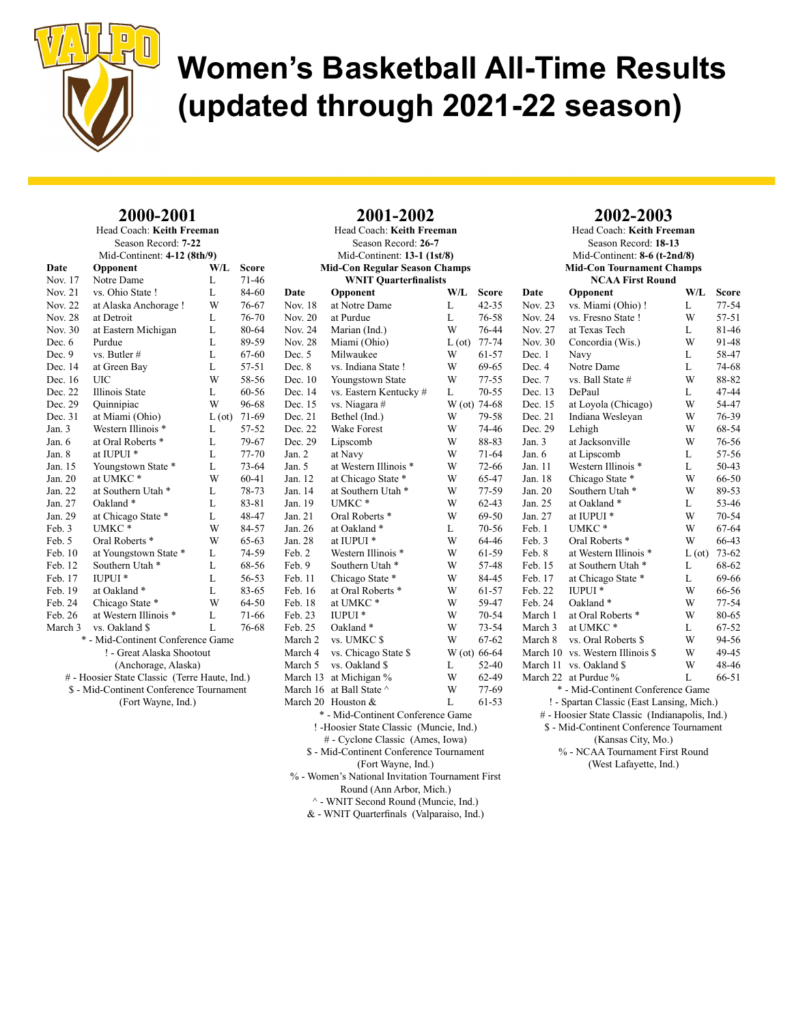

#### 2000-2001 Head Coach: Keith Freeman

| Season Record: 7-22                           |                                          |               |           |  |  |  |
|-----------------------------------------------|------------------------------------------|---------------|-----------|--|--|--|
|                                               | Mid-Continent: 4-12 (8th/9)              |               |           |  |  |  |
| Date                                          | Opponent                                 | $W/I$ .       | Score     |  |  |  |
| Nov. 17                                       | Notre Dame                               | L             | 71-46     |  |  |  |
| Nov. 21                                       | vs. Ohio State!                          | L             | 84-60     |  |  |  |
| Nov. 22                                       | at Alaska Anchorage!                     | W             | 76-67     |  |  |  |
| <b>Nov. 28</b>                                | at Detroit                               | L             | 76-70     |  |  |  |
| Nov. 30                                       | at Eastern Michigan                      | L             | 80-64     |  |  |  |
| Dec. $6$                                      | Purdue                                   | L.            | 89-59     |  |  |  |
| Dec. 9                                        | vs. Butler #                             | L.            | 67-60     |  |  |  |
| Dec. 14                                       | at Green Bay                             | L             | 57-51     |  |  |  |
| Dec. 16                                       | UІC                                      | W             | 58-56     |  |  |  |
| Dec. 22                                       | Illinois State                           | L             | 60-56     |  |  |  |
| Dec. 29                                       | Quinnipiac                               | W             | 96-68     |  |  |  |
| Dec. 31                                       | at Miami (Ohio)                          | $L(\sigma t)$ | 71-69     |  |  |  |
| Jan. $3$                                      | Western Illinois *                       | L             | 57-52     |  |  |  |
| Jan. 6                                        | at Oral Roberts *                        | L             | 79-67     |  |  |  |
| Jan. 8                                        | at IUPUI <sup>*</sup>                    | L             | 77-70     |  |  |  |
| Jan. 15                                       | Youngstown State *                       | L             | 73-64     |  |  |  |
| Jan. 20                                       | at UMKC*                                 | W             | 60-41     |  |  |  |
| Jan. 22                                       | at Southern Utah <sup>*</sup>            | L             | 78-73     |  |  |  |
| Jan. 27                                       | Oakland*                                 | L             | 83-81     |  |  |  |
| Jan. 29                                       | at Chicago State *                       | L             | 48-47     |  |  |  |
| Feb. 3                                        | UMKC*                                    | W             | 84-57     |  |  |  |
| Feb. 5                                        | Oral Roberts <sup>*</sup>                | W             | $65 - 63$ |  |  |  |
| Feb. 10                                       | at Youngstown State *                    | L             | 74-59     |  |  |  |
| Feb. 12                                       | Southern Utah*                           | L             | 68-56     |  |  |  |
| Feb. 17                                       | IUPUI *                                  | L             | 56-53     |  |  |  |
| Feb. 19                                       | at Oakland*                              | L             | 83-65     |  |  |  |
| Feb. 24                                       | Chicago State *                          | W             | 64-50     |  |  |  |
| Feb. 26                                       | at Western Illinois *                    | L             | 71-66     |  |  |  |
| March 3                                       | vs. Oakland \$                           | L.            | 76-68     |  |  |  |
|                                               | * - Mid-Continent Conference Game        |               |           |  |  |  |
|                                               | ! - Great Alaska Shootout                |               |           |  |  |  |
| (Anchorage, Alaska)                           |                                          |               |           |  |  |  |
| # - Hoosier State Classic (Terre Haute, Ind.) |                                          |               |           |  |  |  |
|                                               | \$ - Mid-Continent Conference Tournament |               |           |  |  |  |
|                                               | (Fort Wayne, Ind.)                       |               |           |  |  |  |
|                                               |                                          |               |           |  |  |  |

| Head Coach: Keith Freeman                        |                                          |              |           |  |  |
|--------------------------------------------------|------------------------------------------|--------------|-----------|--|--|
|                                                  | Season Record: 26-7                      |              |           |  |  |
|                                                  | Mid-Continent: 13-1 (1st/8)              |              |           |  |  |
|                                                  | <b>Mid-Con Regular Season Champs</b>     |              |           |  |  |
|                                                  | <b>WNIT Quarterfinalists</b>             |              |           |  |  |
| Date                                             | Opponent                                 | W/L          | Score     |  |  |
| Nov. 18                                          | at Notre Dame                            | L            | $42 - 35$ |  |  |
| Nov. 20                                          | at Purdue                                | L            | 76-58     |  |  |
| Nov. 24                                          | Marian (Ind.)                            | W            | 76-44     |  |  |
| <b>Nov. 28</b>                                   | Miami (Ohio)                             | L (ot)       | $77 - 74$ |  |  |
| Dec. 5                                           | Milwaukee                                | W            | 61-57     |  |  |
| Dec. 8                                           | vs. Indiana State !                      | W            | 69-65     |  |  |
| Dec. 10                                          | Youngstown State                         | W            | $77 - 55$ |  |  |
| Dec. 14                                          | vs. Eastern Kentucky #                   | L            | $70 - 55$ |  |  |
| Dec. 15                                          | vs. Niagara #                            | W (ot) 74-68 |           |  |  |
| Dec. 21                                          | Bethel (Ind.)                            | W            | 79-58     |  |  |
| Dec. 22                                          | <b>Wake Forest</b>                       | W            | 74-46     |  |  |
| Dec. 29                                          | Lipscomb                                 | W            | 88-83     |  |  |
| Jan. 2                                           | at Navy                                  | W            | 71-64     |  |  |
| Jan. 5                                           | at Western Illinois *                    | W            | 72-66     |  |  |
| Jan. 12                                          | at Chicago State *                       | W            | 65-47     |  |  |
| Jan. 14                                          | at Southern Utah *                       | W            | 77-59     |  |  |
| Jan. 19                                          | UMKC*                                    | W            | $62 - 43$ |  |  |
| Jan. 21                                          | Oral Roberts <sup>*</sup>                | W            | 69-50     |  |  |
| Jan. 26                                          | at Oakland*                              | L            | 70-56     |  |  |
| Jan. 28                                          | at IUPUI <sup>*</sup>                    | W            | 64-46     |  |  |
| Feb. 2                                           | Western Illinois *                       | W            | 61-59     |  |  |
| Feb. 9                                           | Southern Utah <sup>*</sup>               | W            | 57-48     |  |  |
| Feb. 11                                          | Chicago State *                          | W            | 84-45     |  |  |
| Feb. 16                                          | at Oral Roberts *                        | W            | 61-57     |  |  |
| Feb. 18                                          | at UMKC*                                 | W            | 59-47     |  |  |
| Feb. 23                                          | <b>IUPUI</b> *                           | W            | 70-54     |  |  |
| Feb. 25                                          | Oakland*                                 | W            | 73-54     |  |  |
| March 2                                          | vs. UMKC \$                              | W            | $67 - 62$ |  |  |
| March 4                                          | vs. Chicago State \$                     | W (ot) 66-64 |           |  |  |
| March 5                                          | vs. Oakland \$                           | L            | 52-40     |  |  |
| March 13                                         | at Michigan %                            | W            | 62-49     |  |  |
| March 16                                         | at Ball State ^                          | W            | 77-69     |  |  |
| March 20                                         | Houston &                                | L            | 61-53     |  |  |
|                                                  | * - Mid-Continent Conference Game        |              |           |  |  |
|                                                  | ! - Hoosier State Classic (Muncie, Ind.) |              |           |  |  |
|                                                  | # - Cyclone Classic (Ames, Iowa)         |              |           |  |  |
|                                                  | \$ - Mid-Continent Conference Tournament |              |           |  |  |
|                                                  | (Fort Wayne, Ind.)                       |              |           |  |  |
| % - Women's National Invitation Tournament First |                                          |              |           |  |  |

2001-2002

### 2002-2003

Head Coach: Keith Freeman Season Record: 18-13 Mid-Continent: 8-6 (t-2nd/8) Mid-Con Tournament Champs NCAA First Round Date Opponent W/L Score<br>Nov. 23 vs. Miami (Ohio) ! L 77-54 vs. Miami (Ohio) !<br>  $V_s$  Fresno State ! W 57-51 Nov. 24 vs. Fresno State ! W

| 1101.27                                        | və. 1 iyəliy bidiyi                       | YY            | <i>JI-J</i> 1 |  |
|------------------------------------------------|-------------------------------------------|---------------|---------------|--|
| Nov. 27                                        | at Texas Tech                             | L             | 81-46         |  |
| Nov. 30                                        | Concordia (Wis.)                          | W             | 91-48         |  |
| Dec. 1                                         | Navy                                      | L             | 58-47         |  |
| Dec. 4                                         | Notre Dame                                | L             | 74-68         |  |
| Dec. 7                                         | vs. Ball State #                          | W             | 88-82         |  |
| Dec. 13                                        | DePaul                                    | L             | 47-44         |  |
| Dec. 15                                        | at Loyola (Chicago)                       | W             | 54-47         |  |
| Dec. 21                                        | Indiana Wesleyan                          | W             | 76-39         |  |
| Dec. 29                                        | Lehigh                                    | W             | 68-54         |  |
| Jan. $3$                                       | at Jacksonville                           | W             | 76-56         |  |
| Jan. 6                                         | at Lipscomb                               | L             | 57-56         |  |
| Jan. 11                                        | Western Illinois *                        | L             | 50-43         |  |
| Jan. 18                                        | Chicago State *                           | W             | 66-50         |  |
| Jan. 20                                        | Southern Utah <sup>*</sup>                | W             | 89-53         |  |
| Jan. 25                                        | at Oakland *                              | L             | 53-46         |  |
| Jan. 27                                        | at IUPUI <sup>*</sup>                     | W             | $70 - 54$     |  |
| Feb. 1                                         | UMKC*                                     | W             | 67-64         |  |
| Feb. 3                                         | Oral Roberts <sup>*</sup>                 | W             | 66-43         |  |
| Feb. 8                                         | at Western Illinois *                     | $L(\sigma t)$ | $73 - 62$     |  |
| Feb. 15                                        | at Southern Utah *                        | L             | 68-62         |  |
| Feb. 17                                        | at Chicago State *                        | L             | 69-66         |  |
| Feb. 22                                        | <b>IUPUI</b> *                            | W             | 66-56         |  |
| Feb. 24                                        | Oakland <sup>*</sup>                      | W             | 77-54         |  |
| March 1                                        | at Oral Roberts *                         | W             | 80-65         |  |
| March 3                                        | at UMKC*                                  | L             | 67-52         |  |
| March 8                                        | vs. Oral Roberts \$                       | W             | 94-56         |  |
| March 10                                       | vs. Western Illinois \$                   | W             | 49-45         |  |
| March 11                                       | vs. Oakland \$                            | W             | 48-46         |  |
| March 22                                       | at Purdue %                               | L             | 66-51         |  |
|                                                | * - Mid-Continent Conference Game         |               |               |  |
|                                                | ! - Spartan Classic (East Lansing, Mich.) |               |               |  |
| # - Hoosier State Classic (Indianapolis, Ind.) |                                           |               |               |  |

\$ - Mid-Continent Conference Tournament

(Kansas City, Mo.)

% - NCAA Tournament First Round (West Lafayette, Ind.)

Round (Ann Arbor, Mich.) ^ - WNIT Second Round (Muncie, Ind.)

& - WNIT Quarterfinals (Valparaiso, Ind.)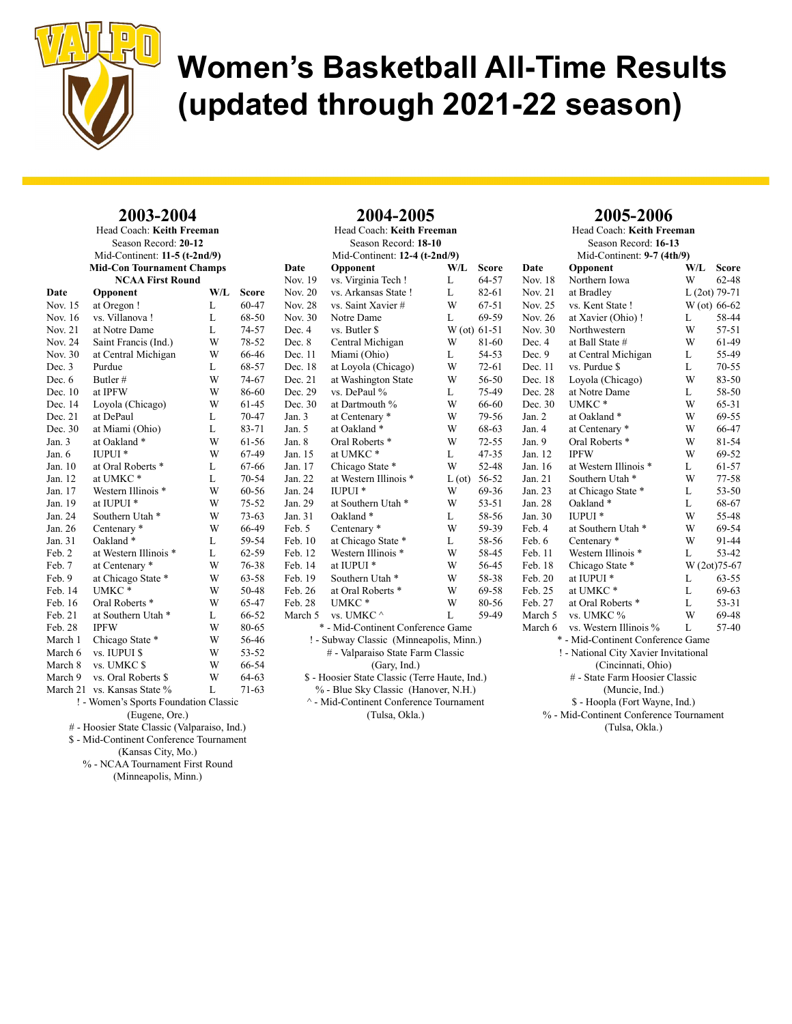

#### 2003-2004 Head Coach: Keith Freeman

| Season Record: 20-12 |                                       |     |           |  |  |  |
|----------------------|---------------------------------------|-----|-----------|--|--|--|
|                      | Mid-Continent: 11-5 (t-2nd/9)         |     |           |  |  |  |
|                      | <b>Mid-Con Tournament Champs</b>      |     |           |  |  |  |
|                      | <b>NCAA First Round</b>               |     |           |  |  |  |
| Date                 | Opponent                              | W/L | Score     |  |  |  |
| Nov. 15              | at Oregon!                            | L   | 60-47     |  |  |  |
| Nov. 16              | vs. Villanova !                       | L   | 68-50     |  |  |  |
| <b>Nov. 21</b>       | at Notre Dame                         | L   | 74-57     |  |  |  |
| Nov. 24              | Saint Francis (Ind.)                  | W   | 78-52     |  |  |  |
| Nov. 30              | at Central Michigan                   | W   | 66-46     |  |  |  |
| Dec. 3               | Purdue                                | L   | 68-57     |  |  |  |
| Dec. 6               | Butler#                               | W   | 74-67     |  |  |  |
| Dec. 10              | at IPFW                               | W   | 86-60     |  |  |  |
| Dec. 14              | Loyola (Chicago)                      | W   | 61-45     |  |  |  |
| Dec. 21              | at DePaul                             | L   | 70-47     |  |  |  |
| Dec. 30              | at Miami (Ohio)                       | L   | 83-71     |  |  |  |
| Jan. 3               | at Oakland *                          | W   | 61-56     |  |  |  |
| Jan. 6               | IUPUI <sup>*</sup>                    | W   | 67-49     |  |  |  |
| Jan. 10              | at Oral Roberts *                     | L   | 67-66     |  |  |  |
| Jan. 12              | at UMKC*                              | L   | $70 - 54$ |  |  |  |
| Jan. 17              | Western Illinois *                    | W   | 60-56     |  |  |  |
| Jan. 19              | at IUPUI <sup>*</sup>                 | W   | $75 - 52$ |  |  |  |
| Jan. 24              | Southern Utah <sup>*</sup>            | W   | $73 - 63$ |  |  |  |
| Jan. 26              | Centenary <sup>*</sup>                | W   | 66-49     |  |  |  |
| Jan. 31              | Oakland*                              | L   | 59-54     |  |  |  |
| Feb. 2               | at Western Illinois *                 | L   | 62-59     |  |  |  |
| Feb. 7               | at Centenary *                        | W   | 76-38     |  |  |  |
| Feb. 9               | at Chicago State *                    | W   | 63-58     |  |  |  |
| Feb. 14              | UMKC*                                 | W   | 50-48     |  |  |  |
| Feb. 16              | Oral Roberts <sup>*</sup>             | W   | 65-47     |  |  |  |
| Feb. 21              | at Southern Utah <sup>*</sup>         | L   | 66-52     |  |  |  |
| Feb. 28              | <b>IPFW</b>                           | W   | 80-65     |  |  |  |
| March 1              | Chicago State *                       | W   | 56-46     |  |  |  |
| March 6              | vs. IUPUI \$                          | W   | $53 - 52$ |  |  |  |
| March 8              | vs. UMKC \$                           | W   | 66-54     |  |  |  |
| March 9              | vs. Oral Roberts \$                   | W   | 64-63     |  |  |  |
|                      | March 21 vs. Kansas State %           | L   | $71-63$   |  |  |  |
|                      | ! - Women's Sports Foundation Classic |     |           |  |  |  |
| (Eugene, Ore.)       |                                       |     |           |  |  |  |

# - Hoosier State Classic (Valparaiso, Ind.)

\$ - Mid-Continent Conference Tournament

(Kansas City, Mo.)

% - NCAA Tournament First Round (Minneapolis, Minn.)

| 2004-2005                            |                                                |              |           |  |  |  |
|--------------------------------------|------------------------------------------------|--------------|-----------|--|--|--|
|                                      | Head Coach: Keith Freeman                      |              |           |  |  |  |
|                                      | Season Record: 18-10                           |              |           |  |  |  |
|                                      | Mid-Continent: 12-4 (t-2nd/9)                  |              |           |  |  |  |
| Date                                 | Opponent                                       | W/L          | Score     |  |  |  |
| Nov. 19                              | vs. Virginia Tech !                            | L            | 64-57     |  |  |  |
| Nov. 20                              | vs. Arkansas State !                           | L            | 82-61     |  |  |  |
| <b>Nov. 28</b>                       | vs. Saint Xavier#                              | W            | $67 - 51$ |  |  |  |
| Nov. 30                              | Notre Dame                                     | L            | 69-59     |  |  |  |
| Dec. 4                               | vs. Butler \$                                  | W (ot) 61-51 |           |  |  |  |
| Dec. 8                               | Central Michigan                               | W            | 81-60     |  |  |  |
| Dec. 11                              | Miami (Ohio)                                   | L            | 54-53     |  |  |  |
| Dec. 18                              | at Loyola (Chicago)                            | W            | $72 - 61$ |  |  |  |
| Dec. 21                              | at Washington State                            | W            | 56-50     |  |  |  |
| Dec. 29                              | vs. DePaul %                                   | L            | 75-49     |  |  |  |
| Dec. 30                              | at Dartmouth %                                 | W            | 66-60     |  |  |  |
| Jan. 3                               | at Centenary *                                 | W            | 79-56     |  |  |  |
| Jan. 5                               | at Oakland*                                    | W            | 68-63     |  |  |  |
| Jan. 8                               | Oral Roberts <sup>*</sup>                      | W            | $72 - 55$ |  |  |  |
| Jan. 15                              | at UMKC*                                       | L            | $47 - 35$ |  |  |  |
| Jan. 17                              | Chicago State *                                | W            | 52-48     |  |  |  |
| Jan. 22                              | at Western Illinois *                          | L (ot)       | 56-52     |  |  |  |
| Jan. 24                              | IUPUI <sup>*</sup>                             | W            | 69-36     |  |  |  |
| Jan. 29                              | at Southern Utah *                             | W            | 53-51     |  |  |  |
| Jan. 31                              | Oakland*                                       | L            | 58-56     |  |  |  |
| Feb. 5                               | Centenary <sup>*</sup>                         | W            | 59-39     |  |  |  |
| Feb. 10                              | at Chicago State *                             | L            | 58-56     |  |  |  |
| Feb. 12                              | Western Illinois *                             | W            | 58-45     |  |  |  |
| Feb. 14                              | at IUPUI <sup>*</sup>                          | W            | 56-45     |  |  |  |
| Feb. 19                              | Southern Utah <sup>*</sup>                     | W            | 58-38     |  |  |  |
| Feb. 26                              | at Oral Roberts *                              | W            | 69-58     |  |  |  |
| Feb. 28                              | UMKC*                                          | W            | 80-56     |  |  |  |
| March 5                              | vs. UMKC ^                                     | L            | 59-49     |  |  |  |
|                                      | * - Mid-Continent Conference Game              |              |           |  |  |  |
|                                      | ! - Subway Classic (Minneapolis, Minn.)        |              |           |  |  |  |
| # - Valparaiso State Farm Classic    |                                                |              |           |  |  |  |
|                                      | (Gary, Ind.)                                   |              |           |  |  |  |
|                                      | \$ - Hoosier State Classic (Terre Haute, Ind.) |              |           |  |  |  |
| % - Blue Sky Classic (Hanover, N.H.) |                                                |              |           |  |  |  |

 $^\wedge$  - Mid-Continent Conference Tournament (Tulsa, Okla.)

### 2005-2006

Head Coach: Keith Freeman Season Record: 16-13 Mid-Continent: 9-7 (4th/9) Date Opponent W/L Score Nov. 18 Northern Iowa W 62-48 Nov. 21 at Bradley L (2ot) 79-71<br>Nov. 25 vs. Kent State ! W (ot) 66-62 vs. Kent State ! Nov. 26 at Xavier (Ohio) ! L 58-44 Nov. 30 Northwestern W 57-51 Dec. 4 at Ball State  $#$  W 61-49 Dec. 9 at Central Michigan L 55-49 Dec. 11 vs. Purdue \$ L 70-55 Dec. 18 Loyola (Chicago) W 83-50 Dec. 28 at Notre Dame L 58-50 Dec. 30 UMKC \* W 65-31 Jan. 2 at Oakland \* W 69-55 Jan. 4 at Centenary \* W 66-47<br>Jan. 9 Oral Roberts \* W 81-54 Oral Roberts \* W 81-54<br>IPFW W 69-52 Jan. 12 IPFW W 69-52 Jan. 16 at Western Illinois \* L 61-57 Jan. 21 Southern Utah \* W 77-58 Jan. 23 at Chicago State \* L 53-50 Oakland  $^\ast$   $\hfill L$ Jan. 30 IUPUI \* W 55-48 Feb. 4 at Southern Utah \* W 69-54<br>Feb. 6 Centenary \* W 91-44 Feb. 6 Centenary \* W 91-44 Feb. 11 Western Illinois \* L 53-42 Feb. 18 Chicago State \* W  $(2<sub>ot</sub>)$ 75-67 Feb. 20 at IUPUI \* L 63-55 Feb. 25 at UMKC \* L 69-63 Feb. 27 at Oral Roberts \* L 53-31 March 5 vs. UMKC % W 69-48 March 6 vs. Western Illinois % L 57-40 \* - Mid-Continent Conference Game ! - National City Xavier Invitational (Cincinnati, Ohio) # - State Farm Hoosier Classic (Muncie, Ind.) \$ - Hoopla (Fort Wayne, Ind.) % - Mid-Continent Conference Tournament (Tulsa, Okla.)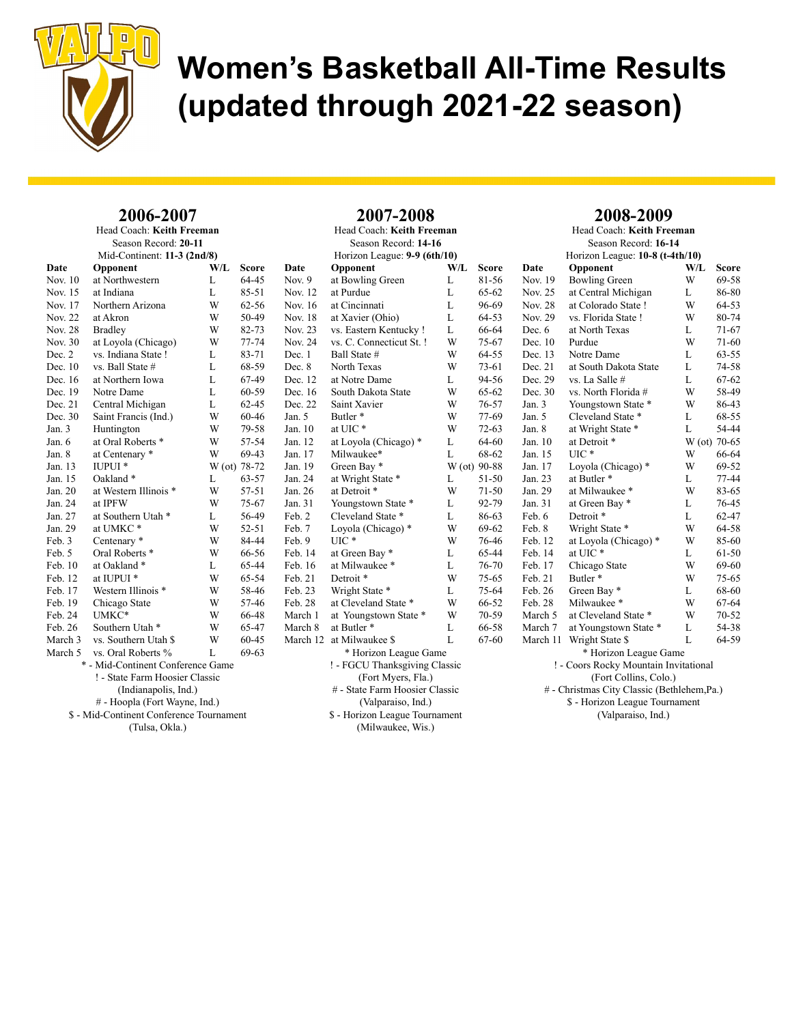

#### 2006-2007 Head Coach: Keith Freeman

|                             | Season Record: 20-11                     |              |           |                    |  |
|-----------------------------|------------------------------------------|--------------|-----------|--------------------|--|
| Mid-Continent: 11-3 (2nd/8) |                                          |              |           |                    |  |
| Date                        | Opponent                                 | W/L          | Score     | Date               |  |
| Nov. 10                     | at Northwestern                          | L            | 64-45     | Nov. $\frac{1}{2}$ |  |
| Nov. 15                     | at Indiana                               | L            | 85-51     | Nov. 1             |  |
| Nov. 17                     | Northern Arizona                         | W            | $62 - 56$ | Nov. 1             |  |
| <b>Nov. 22</b>              | at Akron                                 | W            | 50-49     | Nov. 1             |  |
| <b>Nov. 28</b>              | <b>Bradley</b>                           | W            | 82-73     | Nov. 2             |  |
| Nov. 30                     | at Loyola (Chicago)                      | W            | 77-74     | Nov. 2             |  |
| Dec. 2                      | vs. Indiana State !                      | L            | 83-71     | Dec. 1             |  |
| Dec. 10                     | vs. Ball State #                         | L            | 68-59     | Dec. 8             |  |
| Dec. 16                     | at Northern Iowa                         | L            | 67-49     | Dec. 1             |  |
| Dec. 19                     | Notre Dame                               | L            | 60-59     | Dec. 1             |  |
| Dec. 21                     | Central Michigan                         | L            | 62-45     | Dec. 2             |  |
| Dec. 30                     | Saint Francis (Ind.)                     | W            | 60-46     | Jan. 5             |  |
| Jan. 3                      | Huntington                               | W            | 79-58     | Jan. 10            |  |
| Jan. 6                      | at Oral Roberts *                        | W            | 57-54     | Jan. 12            |  |
| Jan. 8                      | at Centenary *                           | W            | 69-43     | Jan. 1             |  |
| Jan. 13                     | <b>IUPUI</b> *                           | W (ot) 78-72 |           | Jan. 19            |  |
| Jan. 15                     | Oakland *                                | L            | 63-57     | Jan. $24$          |  |
| Jan. 20                     | at Western Illinois *                    | W            | 57-51     | Jan. $20$          |  |
| Jan. 24                     | at IPFW                                  | W            | 75-67     | Jan. 3             |  |
| Jan. 27                     | at Southern Utah*                        | L            | 56-49     | Feb. 2             |  |
| Jan. 29                     | at UMKC*                                 | W            | 52-51     | Feb. 7             |  |
| Feb. 3                      | Centenary <sup>*</sup>                   | W            | 84-44     | Feb. 9             |  |
| Feb. 5                      | Oral Roberts <sup>*</sup>                | W            | 66-56     | Feb. 1             |  |
| Feb. 10                     | at Oakland *                             | L            | 65-44     | Feb. 1             |  |
| Feb. 12                     | at IUPUI <sup>*</sup>                    | W            | 65-54     | Feb. 2             |  |
| Feb. 17                     | Western Illinois *                       | W            | 58-46     | Feb. 2             |  |
| Feb. 19                     | Chicago State                            | W            | 57-46     | Feb. 2             |  |
| Feb. 24                     | UMKC*                                    | W            | 66-48     | March              |  |
| Feb. 26                     | Southern Utah <sup>*</sup>               | W            | 65-47     | March              |  |
| March 3                     | vs. Southern Utah \$                     | W            | 60-45     | March              |  |
| March 5                     | vs. Oral Roberts %                       | L            | 69-63     |                    |  |
|                             | * - Mid-Continent Conference Game        |              |           |                    |  |
|                             | ! - State Farm Hoosier Classic           |              |           |                    |  |
|                             | (Indianapolis, Ind.)                     |              |           |                    |  |
|                             | # - Hoopla (Fort Wayne, Ind.)            |              |           |                    |  |
|                             | \$ - Mid-Continent Conference Tournament |              |           |                    |  |
|                             | (Tulsa, Okla.)                           |              |           |                    |  |
|                             |                                          |              |           |                    |  |

|          | 2007-2008                      |              |           |
|----------|--------------------------------|--------------|-----------|
|          | Head Coach: Keith Freeman      |              |           |
|          | Season Record: 14-16           |              |           |
|          | Horizon League: 9-9 (6th/10)   |              |           |
| Date     | Opponent                       | W/L          | Score     |
| Nov. 9   | at Bowling Green               | L            | 81-56     |
| Nov. 12  | at Purdue                      | L            | 65-62     |
| Nov. 16  | at Cincinnati                  | L            | 96-69     |
| Nov. 18  | at Xavier (Ohio)               | L            | $64 - 53$ |
| Nov. 23  | vs. Eastern Kentucky !         | L            | 66-64     |
| Nov. 24  | vs. C. Connecticut St. !       | W            | 75-67     |
| Dec. 1   | Ball State #                   | W            | 64-55     |
| Dec. 8   | North Texas                    | W            | 73-61     |
| Dec. 12  | at Notre Dame                  | L            | 94-56     |
| Dec. 16  | South Dakota State             | W            | $65 - 62$ |
| Dec. 22  | Saint Xavier                   | W            | 76-57     |
| Jan. 5   | Butler <sup>*</sup>            | W            | 77-69     |
| Jan. 10  | at UIC*                        | W            | 72-63     |
| Jan. 12  | at Loyola (Chicago) *          | L            | 64-60     |
| Jan. 17  | Milwaukee*                     | L            | 68-62     |
| Jan. 19  | Green Bay *                    | W (ot) 90-88 |           |
| Jan. 24  | at Wright State *              | L            | 51-50     |
| Jan. 26  | at Detroit *                   | W            | 71-50     |
| Jan. 31  | Youngstown State *             | L            | 92-79     |
| Feb. 2   | Cleveland State *              | L            | 86-63     |
| Feb. 7   | Loyola (Chicago) *             | W            | 69-62     |
| Feb. 9   | UIC <sup>*</sup>               | W            | 76-46     |
| Feb. 14  | at Green Bay *                 | L            | 65-44     |
| Feb. 16  | at Milwaukee *                 | L            | 76-70     |
| Feb. 21  | Detroit <sup>*</sup>           | W            | 75-65     |
| Feb. 23  | Wright State *                 | L            | 75-64     |
| Feb. 28  | at Cleveland State *           | W            | 66-52     |
| March 1  | at Youngstown State *          | W            | 70-59     |
| March 8  | at Butler*                     | L            | 66-58     |
| March 12 | at Milwaukee \$                | L            | 67-60     |
|          | * Horizon League Game          |              |           |
|          | ! - FGCU Thanksgiving Classic  |              |           |
|          | (Fort Myers, Fla.)             |              |           |
|          | # - State Farm Hoosier Classic |              |           |
|          | (Valparaiso, Ind.)             |              |           |
|          | \$ - Horizon League Tournament |              |           |
|          | (Milwaukee, Wis.)              |              |           |

#### 2008-2009

Head Coach: Keith Freeman Season Record: 16-14 Horizon League: 10-8 (t-4th/10) Date Opponent W/L Score Nov. 19 Bowling Green W 69-58 Nov. 25 at Central Michigan L 86-80<br>Nov. 28 at Colorado State ! W 64-53 at Colorado State ! Nov. 29 vs. Florida State ! W 80-74 Dec. 6 at North Texas L 71-67 Dec. 10 Purdue W 71-60 Dec. 13 Notre Dame L 63-55 Dec. 21 at South Dakota State L 74-58 Dec. 29 vs. La Salle # L 67-62 Dec. 30 vs. North Florida # W 58-49 Jan. 3 Youngstown State \* W 86-43 Jan. 5 Cleveland State \* L 68-55 Jan. 8 at Wright State \* L 54-44<br>Jan. 10 at Detroit \* W (ot) 70-65 Jan. 10 at Detroit \* W (ot) 70-65<br>
Jan. 15 UIC \* W 66-64 Jan. 15 UIC \* W 66-64 Jan. 17 Loyola (Chicago) \* W 69-52 Jan. 23 at Butler \* L 77-44 Jan. 29 at Milwaukee \* W 83-65<br>
Jan. 31 at Green Bay \* L 76-45 Jan. 31 at Green Bay \* L Feb. 6 Detroit \* L 62-47 Feb. 8 Wright State \* W 64-58<br>Feb. 12 at Lovola (Chicago) \* W 85-60 Feb. 12 at Loyola (Chicago) \* W 85-60<br>Feb. 14 at UIC \* L 61-50 at UIC  $*$  L 61-50 Feb. 17 Chicago State W 69-60 Feb. 21 Butler \* W 75-65 Feb. 26 Green Bay \* L 68-60 Feb. 28 Milwaukee \* W 67-64 March 5 at Cleveland State \* W 70-52 March 7 at Youngstown State \* L 54-38 March 11 Wright State \$ L 64-59 \* Horizon League Game ! - Coors Rocky Mountain Invitational (Fort Collins, Colo.) # - Christmas City Classic (Bethlehem,Pa.) \$ - Horizon League Tournament (Valparaiso, Ind.)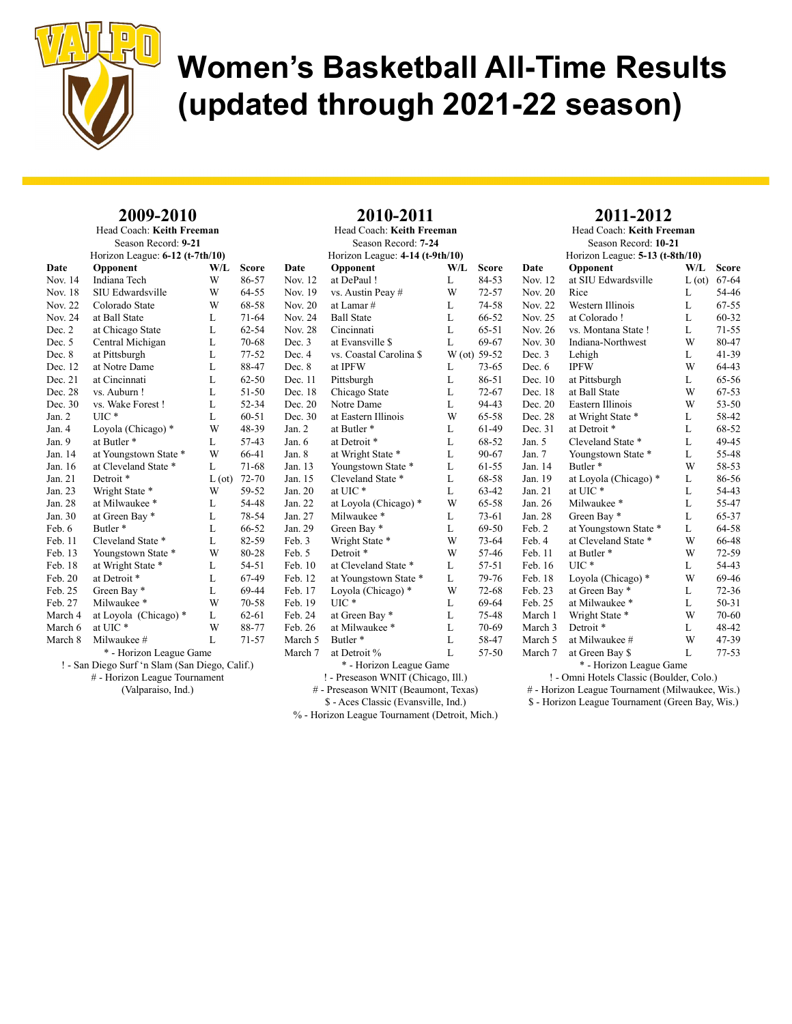

### 2009-2010

|                           | $\blacksquare\vee\blacktriangleright\blacksquare$ |               |           |  |  |
|---------------------------|---------------------------------------------------|---------------|-----------|--|--|
| Head Coach: Keith Freeman |                                                   |               |           |  |  |
|                           | Season Record: 9-21                               |               |           |  |  |
|                           | Horizon League: 6-12 (t-7th/10)                   |               |           |  |  |
| Date                      | Opponent                                          | W/L           | Score     |  |  |
| Nov. 14                   | Indiana Tech                                      | W             | 86-57     |  |  |
| Nov. 18                   | SIU Edwardsville                                  | W             | 64-55     |  |  |
| <b>Nov. 22</b>            | Colorado State                                    | W             | 68-58     |  |  |
| Nov. 24                   | at Ball State                                     | L             | 71-64     |  |  |
| Dec. 2                    | at Chicago State                                  | L             | $62 - 54$ |  |  |
| Dec. 5                    | Central Michigan                                  | L             | 70-68     |  |  |
| Dec. 8                    | at Pittsburgh                                     | L             | 77-52     |  |  |
| Dec. 12                   | at Notre Dame                                     | L             | 88-47     |  |  |
| Dec. 21                   | at Cincinnati                                     | L             | 62-50     |  |  |
| Dec. 28                   | vs. Auburn!                                       | L             | 51-50     |  |  |
| Dec. 30                   | vs. Wake Forest!                                  | L             | 52-34     |  |  |
| Jan. 2                    | UІC *                                             | L             | $60 - 51$ |  |  |
| Jan. 4                    | Loyola (Chicago) *                                | W             | 48-39     |  |  |
| Jan. 9                    | at Butler <sup>*</sup>                            | L             | 57-43     |  |  |
| Jan. 14                   | at Youngstown State *                             | W             | 66-41     |  |  |
| Jan. 16                   | at Cleveland State *                              | L             | 71-68     |  |  |
| Jan. 21                   | Detroit *                                         | $L(\sigma t)$ | 72-70     |  |  |
| Jan. 23                   | Wright State *                                    | W             | 59-52     |  |  |
| Jan. 28                   | at Milwaukee *                                    | L             | 54-48     |  |  |
| Jan. 30                   | at Green Bay *                                    | L             | 78-54     |  |  |
| Feb. 6                    | Butler*                                           | L             | 66-52     |  |  |
| Feb. 11                   | Cleveland State *                                 | L             | 82-59     |  |  |
| Feb. 13                   | Youngstown State *                                | W             | 80-28     |  |  |
| Feb. 18                   | at Wright State *                                 | L             | 54-51     |  |  |
| Feb. 20                   | at Detroit *                                      | L             | 67-49     |  |  |
| Feb. 25                   | Green Bay *                                       | L             | 69-44     |  |  |
| Feb. 27                   | Milwaukee *                                       | W             | 70-58     |  |  |
| March 4                   | at Loyola (Chicago) *                             | L             | 62-61     |  |  |
| March 6                   | at UIC*                                           | W             | 88-77     |  |  |
| March 8                   | Milwaukee #                                       | L             | 71-57     |  |  |
|                           | * - Horizon League Game                           |               |           |  |  |
|                           | ! - San Diego Surf 'n Slam (San Diego, Calif.)    |               |           |  |  |
|                           | # - Horizon League Tournament                     |               |           |  |  |
| (Valparaiso, Ind.)        |                                                   |               |           |  |  |

| 2010-2011                            |                                                        |              |           |  |  |  |
|--------------------------------------|--------------------------------------------------------|--------------|-----------|--|--|--|
|                                      | Head Coach: Keith Freeman                              |              |           |  |  |  |
|                                      | Season Record: 7-24                                    |              |           |  |  |  |
|                                      | Horizon League: 4-14 (t-9th/10)                        |              |           |  |  |  |
| Date                                 | Opponent                                               | W/L          | Score     |  |  |  |
| Nov. 12                              | at DePaul!                                             | L            | 84-53     |  |  |  |
| Nov. 19                              | vs. Austin Peay #                                      | W            | $72 - 57$ |  |  |  |
| Nov. 20                              | at Lamar #                                             | L            | 74-58     |  |  |  |
| Nov. 24                              | <b>Ball State</b>                                      | L            | 66-52     |  |  |  |
| <b>Nov. 28</b>                       | Cincinnati                                             | L            | $65 - 51$ |  |  |  |
| Dec. 3                               | at Evansville \$                                       | L            | 69-67     |  |  |  |
| Dec. 4                               | vs. Coastal Carolina \$                                | W (ot) 59-52 |           |  |  |  |
| Dec. 8                               | at IPFW                                                | L            | $73 - 65$ |  |  |  |
| Dec. 11                              | Pittsburgh                                             | L            | 86-51     |  |  |  |
| Dec. 18                              | Chicago State                                          | L            | $72 - 67$ |  |  |  |
| Dec. 20                              | Notre Dame                                             | L            | 94-43     |  |  |  |
| Dec. 30                              | at Eastern Illinois                                    | W            | 65-58     |  |  |  |
| Jan. 2                               | at Butler*                                             | L            | 61-49     |  |  |  |
| Jan. 6                               | at Detroit *                                           | L            | 68-52     |  |  |  |
| Jan. 8                               | at Wright State *                                      | L            | 90-67     |  |  |  |
| Jan. 13                              | Youngstown State *                                     | L            | 61-55     |  |  |  |
| Jan. 15                              | Cleveland State *                                      | L            | 68-58     |  |  |  |
| Jan. 20                              | at UIC*                                                | L            | 63-42     |  |  |  |
| Jan. 22                              | at Loyola (Chicago) *                                  | W            | 65-58     |  |  |  |
| Jan. 27                              | Milwaukee*                                             | L            | $73 - 61$ |  |  |  |
| Jan. 29                              | Green Bay*                                             | L            | 69-50     |  |  |  |
| Feb. 3                               | Wright State *                                         | W            | $73 - 64$ |  |  |  |
| Feb. 5                               | Detroit <sup>*</sup>                                   | W            | 57-46     |  |  |  |
| Feb. 10                              | at Cleveland State *                                   | L            | 57-51     |  |  |  |
| Feb. 12                              | at Youngstown State *                                  | L            | 79-76     |  |  |  |
| Feb. 17                              | Loyola (Chicago) *                                     | W            | $72 - 68$ |  |  |  |
| Feb. 19                              | $UIC*$                                                 | L            | 69-64     |  |  |  |
| Feb. 24                              | at Green Bay *                                         | L            | 75-48     |  |  |  |
| Feb. 26                              | at Milwaukee *                                         | L            | 70-69     |  |  |  |
| March 5                              | Butler <sup>*</sup>                                    | L            | 58-47     |  |  |  |
| March 7                              | at Detroit %                                           | L            | 57-50     |  |  |  |
|                                      | * - Horizon League Game                                |              |           |  |  |  |
|                                      | ! - Preseason WNIT (Chicago, Ill.)                     |              |           |  |  |  |
| # - Preseason WNIT (Beaumont, Texas) |                                                        |              |           |  |  |  |
|                                      | \$ - Aces Classic (Evansville, Ind.)                   |              |           |  |  |  |
|                                      | $\frac{1}{2}$ Horizon League Tournament (Detroit Mich) |              |           |  |  |  |

2010-2011

### 2011-2012

Head Coach: Keith Freeman Season Record: 10-21 Horizon League: 5-13 (t-8th/10) Date Opponent W/L Score Nov. 12 at SIU Edwardsville L (ot) 67-64 Nov. 20 Rice L 54-46<br>Nov. 22 Western Illinois L 67-55 Western Illinois L Nov. 25 at Colorado ! L 60-32 Nov. 26 vs. Montana State ! L 71-55 Nov. 30 Indiana-Northwest W 80-47 Dec. 3 Lehigh L 41-39 Dec. 6 IPFW W 64-43 Dec. 10 at Pittsburgh L 65-56 Dec. 18 at Ball State W 67-53 Dec. 20 Eastern Illinois W 53-50 Dec. 28 at Wright State \* L 58-42 Dec. 31 at Detroit \* L 68-52 Jan. 5 Cleveland State \* L 49-45<br>Jan. 7 Youngstown State \* L 55-48 Jan. 7 Youngstown State \* L Jan. 14 Butler \* W 58-53 Jan. 19 at Loyola (Chicago) \* L 86-56 Jan. 21 at UIC \* L 54-43 Jan. 26 Milwaukee \* L 55-47 Jan. 28 Green Bay \* L 65-37 Feb. 2 at Youngstown State \* L 64-58 Feb. 4 at Cleveland State \* W 66-48<br>Feb. 11 at Butler \* W 72-59 at Butler \* W 72-59<br>UIC \* L 54-43 Feb. 16 UIC \* L 54-43<br>Feb. 18 Loyola (Chicago) \* W 69-46 Feb. 18 Loyola (Chicago) \* W Feb. 23 at Green Bay \* L 72-36 Feb. 25 at Milwaukee \* L 50-31 March 1 Wright State \* W 70-60 March 3 Detroit \* L 48-42 March 5 at Milwaukee # W 47-39 March 7 at Green Bay \$ L 77-53 \* - Horizon League Game

! - Omni Hotels Classic (Boulder, Colo.)

# - Horizon League Tournament (Milwaukee, Wis.)

\$ - Horizon League Tournament (Green Bay, Wis.)

% - Horizon League Tournament (Detroit, Mich.)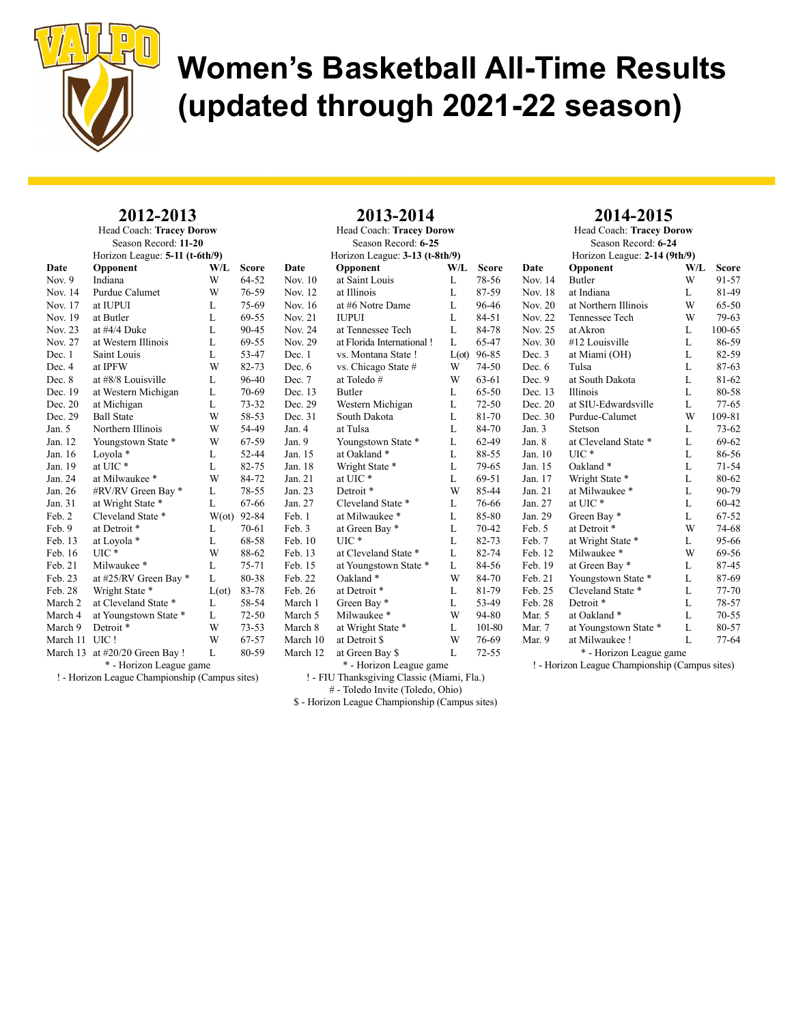

| 2012-2013                       |
|---------------------------------|
| <b>Head Coach: Tracey Dorow</b> |

|                | Season Record: 11-20<br>Horizon League: 5-11 (t-6th/9) |               |       |                |
|----------------|--------------------------------------------------------|---------------|-------|----------------|
| Date           | Opponent                                               | $W/I$ .       | Score | D:             |
| Nov. 9         | Indiana                                                | W             | 64-52 | N              |
| Nov. 14        | Purdue Calumet                                         | W             | 76-59 | N              |
| Nov. 17        | at IUPUI                                               | L             | 75-69 | N <sub>0</sub> |
| Nov. 19        | at Butler                                              | L             | 69-55 | N <sub>0</sub> |
| Nov. 23        | at $\#4/4$ Duke                                        | L             | 90-45 | N              |
| <b>Nov. 27</b> | at Western Illinois                                    | L             | 69-55 | N              |
| Dec. 1         | Saint Louis                                            | L             | 53-47 | D              |
| Dec. 4         | at IPFW                                                | W             | 82-73 | D              |
| Dec. 8         | at #8/8 Louisville                                     | L             | 96-40 | D              |
| Dec. 19        | at Western Michigan                                    | L             | 70-69 | D              |
| Dec. 20        | at Michigan                                            | L             | 73-32 | D              |
| Dec. 29        | <b>Ball State</b>                                      | W             | 58-53 | D              |
| Jan. 5         | Northern Illinois                                      | W             | 54-49 | Ja             |
| Jan. 12        | Youngstown State *                                     | W             | 67-59 | Ja             |
| Jan. 16        | Loyola *                                               | L             | 52-44 | Ja             |
| Jan. 19        | at UIC*                                                | L             | 82-75 | Ja             |
| Jan. 24        | at Milwaukee*                                          | W             | 84-72 | Ja             |
| Jan. 26        | #RV/RV Green Bay *                                     | L             | 78-55 | Ja             |
| Jan. 31        | at Wright State *                                      | L             | 67-66 | Ja             |
| Feb. 2         | Cleveland State *                                      | $W(\sigma t)$ | 92-84 | Fe             |
| Feb. 9         | at Detroit *                                           | L             | 70-61 | Fe             |
| Feb. 13        | at Loyola *                                            | L             | 68-58 | Fe             |
| Feb. 16        | UIC*                                                   | W             | 88-62 | Fe             |
| Feb. 21        | Milwaukee*                                             | L             | 75-71 | Fe             |
| Feb. 23        | at #25/RV Green Bay *                                  | L             | 80-38 | Fe             |
| Feb. 28        | Wright State *                                         | $L(\sigma t)$ | 83-78 | Fe             |
| March 2        | at Cleveland State *                                   | L             | 58-54 | М              |
| March 4        | at Youngstown State *                                  | L             | 72-50 | M              |
| March 9        | Detroit <sup>*</sup>                                   | W             | 73-53 | M              |
| March 11       | UIC!                                                   | W             | 67-57 | M              |
| March 13       | at $\#20/20$ Green Bay !                               | L             | 80-59 | M              |
|                | * - Horizon League game                                |               |       |                |
|                | ! - Horizon League Championship (Campus sites)         |               |       |                |

|                                | Season Record: 6-25                        |                |              |  |  |  |  |  |
|--------------------------------|--------------------------------------------|----------------|--------------|--|--|--|--|--|
| Horizon League: 3-13 (t-8th/9) |                                            |                |              |  |  |  |  |  |
| Date                           | Opponent                                   | W/L            | <b>Score</b> |  |  |  |  |  |
| Nov. 10                        | at Saint Louis                             | L              | 78-56        |  |  |  |  |  |
| Nov. 12                        | at Illinois                                | L              | 87-59        |  |  |  |  |  |
| Nov. 16                        | at #6 Notre Dame                           | L              | 96-46        |  |  |  |  |  |
| <b>Nov. 21</b>                 | <b>IUPUI</b>                               | L              | 84-51        |  |  |  |  |  |
| Nov. 24                        | at Tennessee Tech                          | L              | 84-78        |  |  |  |  |  |
| Nov. 29                        | at Florida International!                  | L              | 65-47        |  |  |  |  |  |
| Dec. 1                         | vs. Montana State !                        | $L(\text{ot})$ | 96-85        |  |  |  |  |  |
| Dec. 6                         | vs. Chicago State #                        | W              | 74-50        |  |  |  |  |  |
| Dec. 7                         | at Toledo#                                 | W              | 63-61        |  |  |  |  |  |
| Dec. 13                        | Butler                                     | L              | 65-50        |  |  |  |  |  |
| Dec. 29                        | Western Michigan                           | L              | $72 - 50$    |  |  |  |  |  |
| Dec. 31                        | South Dakota                               | L              | 81-70        |  |  |  |  |  |
| Jan. 4                         | at Tulsa                                   | L              | 84-70        |  |  |  |  |  |
| Jan. 9                         | Youngstown State *                         | L              | 62-49        |  |  |  |  |  |
| Jan. 15                        | at Oakland*                                | L              | 88-55        |  |  |  |  |  |
| Jan. 18                        | Wright State *                             | L              | 79-65        |  |  |  |  |  |
| Jan. 21                        | at UIC*                                    | L              | 69-51        |  |  |  |  |  |
| Jan. 23                        | Detroit <sup>*</sup>                       | W              | 85-44        |  |  |  |  |  |
| Jan. 27                        | Cleveland State *                          | L              | 76-66        |  |  |  |  |  |
| Feb. 1                         | at Milwaukee *                             | L              | 85-80        |  |  |  |  |  |
| Feb. 3                         | at Green Bay *                             | L              | 70-42        |  |  |  |  |  |
| Feb. 10                        | $UIC*$                                     | L              | 82-73        |  |  |  |  |  |
| Feb. 13                        | at Cleveland State *                       | L              | 82-74        |  |  |  |  |  |
| Feb. 15                        | at Youngstown State *                      | L              | 84-56        |  |  |  |  |  |
| Feb. 22                        | Oakland*                                   | W              | 84-70        |  |  |  |  |  |
| Feb. 26                        | at Detroit *                               | L              | 81-79        |  |  |  |  |  |
| March 1                        | Green Bay*                                 | L              | 53-49        |  |  |  |  |  |
| March 5                        | Milwaukee*                                 | W              | 94-80        |  |  |  |  |  |
| March 8                        | at Wright State *                          | L              | 101-80       |  |  |  |  |  |
| March 10                       | at Detroit \$                              | W              | 76-69        |  |  |  |  |  |
| March 12                       | at Green Bay \$                            | L              | $72 - 55$    |  |  |  |  |  |
|                                | * - Horizon League game                    |                |              |  |  |  |  |  |
|                                | ! - FIU Thanksgiving Classic (Miami, Fla.) |                |              |  |  |  |  |  |
|                                |                                            |                |              |  |  |  |  |  |

2013-2014 Head Coach: Tracey Dorow

#### 2014-2015 Head Coach: Tracey Dorow

Season Record: 6-24 Horizon League: 2-14 (9th/9) Date Opponent W/L Score

Nov. 14 Butler W 91-57<br>Nov. 18 at Indiana L 81-49 Nov. 18 at Indiana L 81-49<br>Nov. 20 at Northern Illinois W 65-50 at Northern Illinois Nov. 22 Tennessee Tech W 79-63 Nov. 25 at Akron L 100-65 Nov. 30 #12 Louisville L 86-59 Dec. 3 at Miami (OH) L 82-59 Dec. 6 Tulsa L 87-63 Dec. 9 at South Dakota L 81-62 Dec. 13 Illinois L 80-58 Dec. 20 at SIU-Edwardsville L 77-65 Dec. 30 Purdue-Calumet W 109-81 Jan. 3 Stetson L 73-62<br>Jan. 8 at Cleveland State \* L 69-62 Jan. 8 at Cleveland State \* L 69-62<br>Jan. 10 UIC \* L 86-56 Jan. 10 UIC \* L Jan. 15 Oakland \* L 71-54 Jan. 17 Wright State \* L 80-62 Jan. 21 at Milwaukee \* L 90-79<br>
Jan. 27 at UIC \* L 60-42 at UIC  $*$  L Jan. 29 Green Bay \* L 67-52 Feb. 5 at Detroit \* W 74-68<br>Feb. 7 at Wright State \* L 95-66

Mar. 9 at Milwaukee ! L 77-64 \* - Horizon League game ! - Horizon League Championship (Campus sites)

Feb. 7 at Wright State \* L 95-66<br>Feb. 12 Milwaukee \* W 69-56

Feb. 19 at Green Bay \* L 87-45 Feb. 21 Youngstown State \* L 87-69 Feb. 25 Cleveland State \* L 77-70 Feb. 28 Detroit \* L 78-57 Mar. 5 at Oakland  $*$  L 70-55 Mar. 7 at Youngstown State \* L 80-57

Milwaukee \*

# - Toledo Invite (Toledo, Ohio)

\$ - Horizon League Championship (Campus sites)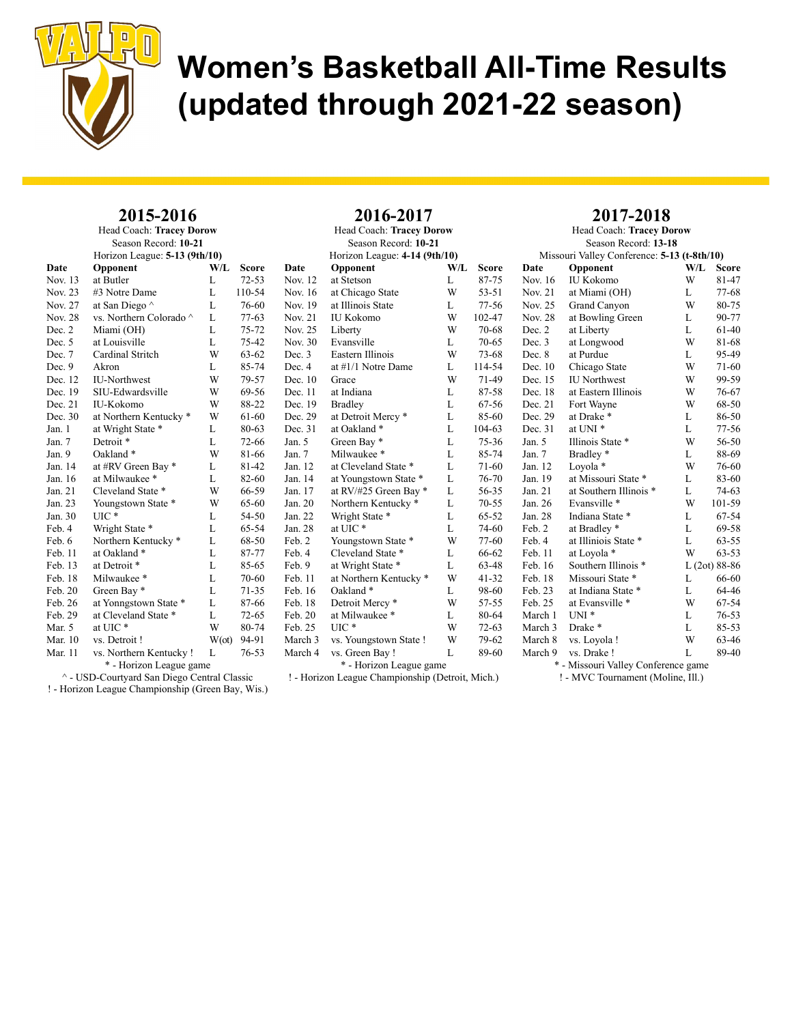

| 2015-2016<br>Head Coach: Tracey Dorow<br>Season Record: 10-21 |                                 |               |                     | 2016-2017<br>Head Coach: Tracey Dorow<br>Season Record: 10-21 |                                   |        |                | 2017-2018<br>Head Coach: Tracey Dorow<br>Season Record: 13-18<br>Missouri Valley Conference: 5-13 (t-8th/10) |                                     |        |                |
|---------------------------------------------------------------|---------------------------------|---------------|---------------------|---------------------------------------------------------------|-----------------------------------|--------|----------------|--------------------------------------------------------------------------------------------------------------|-------------------------------------|--------|----------------|
|                                                               | Horizon League: $5-13$ (9th/10) |               |                     |                                                               | Horizon League: 4-14 (9th/10)     |        |                |                                                                                                              |                                     |        |                |
| Date                                                          | Opponent                        | W/L           | <b>Score</b>        | Date                                                          | Opponent                          | W/L    | <b>Score</b>   | Date                                                                                                         | Opponent                            | W/L    | <b>Score</b>   |
| Nov. 13<br>Nov. 23                                            | at Butler                       | L             | $72 - 53$<br>110-54 | Nov. 12<br>Nov. 16                                            | at Stetson                        | L<br>W | 87-75<br>53-51 | Nov. 16                                                                                                      | IU Kokomo                           | W      | 81-47<br>77-68 |
| Nov. 27                                                       | #3 Notre Dame                   | L<br>L        | 76-60               | Nov. 19                                                       | at Chicago State                  |        | $77 - 56$      | Nov. 21<br>Nov. 25                                                                                           | at Miami (OH)                       | L<br>W | 80-75          |
|                                                               | at San Diego ^                  |               |                     |                                                               | at Illinois State                 | L<br>W |                |                                                                                                              | Grand Canyon                        |        |                |
| Nov. 28                                                       | vs. Northern Colorado ^         | L             | $77-63$             | Nov. 21                                                       | <b>IU Kokomo</b>                  |        | 102-47         | Nov. 28                                                                                                      | at Bowling Green                    | L      | 90-77          |
| Dec. 2                                                        | Miami (OH)                      | L             | 75-72               | Nov. 25                                                       | Liberty                           | W      | 70-68          | Dec. 2                                                                                                       | at Liberty                          | L      | 61-40          |
| Dec. 5                                                        | at Louisville                   | L             | 75-42               | Nov. 30                                                       | Evansville                        | L      | $70 - 65$      | Dec. 3                                                                                                       | at Longwood                         | W      | 81-68          |
| Dec. 7                                                        | Cardinal Stritch                | W             | $63 - 62$           | Dec. 3                                                        | Eastern Illinois                  | W      | 73-68          | Dec. 8                                                                                                       | at Purdue                           | L      | 95-49          |
| Dec. 9                                                        | Akron                           | L             | 85-74               | Dec. 4                                                        | at $\#1/1$ Notre Dame             | L      | 114-54         | Dec. 10                                                                                                      | Chicago State                       | W      | $71-60$        |
| Dec. 12                                                       | <b>IU-Northwest</b>             | W             | 79-57               | Dec. 10                                                       | Grace                             | W      | 71-49          | Dec. 15                                                                                                      | <b>IU</b> Northwest                 | W      | 99-59          |
| Dec. 19                                                       | SIU-Edwardsville                | W             | 69-56               | Dec. 11                                                       | at Indiana                        | L      | 87-58          | Dec. 18                                                                                                      | at Eastern Illinois                 | W      | 76-67          |
| Dec. 21                                                       | IU-Kokomo                       | W             | 88-22               | Dec. 19                                                       | <b>Bradley</b>                    | L      | 67-56          | Dec. 21                                                                                                      | Fort Wayne                          | W      | 68-50          |
| Dec. 30                                                       | at Northern Kentucky *          | W             | 61-60               | Dec. 29                                                       | at Detroit Mercy *                | L      | 85-60          | Dec. 29                                                                                                      | at Drake *                          | L      | 86-50          |
| Jan. 1                                                        | at Wright State *               | L             | 80-63               | Dec. 31                                                       | at Oakland *                      | L      | 104-63         | Dec. 31                                                                                                      | at UNI <sup>*</sup>                 | L      | 77-56          |
| Jan. 7                                                        | Detroit *                       | L             | 72-66               | Jan. 5                                                        | Green Bay*                        | L      | 75-36          | Jan. $5$                                                                                                     | Illinois State *                    | W      | 56-50          |
| Jan. 9                                                        | Oakland*                        | W             | 81-66               | Jan. 7                                                        | Milwaukee*                        | L      | 85-74          | Jan. 7                                                                                                       | Bradley*                            | L      | 88-69          |
| Jan. 14                                                       | at #RV Green Bay *              | L             | 81-42               | Jan. 12                                                       | at Cleveland State *              | L      | 71-60          | Jan. 12                                                                                                      | Loyola *                            | W      | 76-60          |
| Jan. 16                                                       | at Milwaukee*                   | L             | 82-60               | Jan. 14                                                       | at Youngstown State *             | L      | 76-70          | Jan. 19                                                                                                      | at Missouri State *                 | L      | 83-60          |
| Jan. 21                                                       | Cleveland State *               | W             | 66-59               | Jan. 17                                                       | at RV/#25 Green Bay *             | L      | 56-35          | Jan. 21                                                                                                      | at Southern Illinois *              | L      | 74-63          |
| Jan. 23                                                       | Youngstown State *              | W             | 65-60               | Jan. 20                                                       | Northern Kentucky <sup>*</sup>    | L      | $70 - 55$      | Jan. 26                                                                                                      | Evansville *                        | W      | 101-59         |
| Jan. 30                                                       | $\text{UIC}$ *                  | L             | 54-50               | Jan. 22                                                       | Wright State *                    | L      | $65 - 52$      | Jan. 28                                                                                                      | Indiana State *                     | L      | 67-54          |
| Feb. 4                                                        | Wright State *                  | L             | 65-54               | Jan. 28                                                       | at UIC*                           | L      | 74-60          | Feb. 2                                                                                                       | at Bradley*                         | L      | 69-58          |
| Feb. 6                                                        | Northern Kentucky <sup>*</sup>  | L             | 68-50               | Feb. 2                                                        | Youngstown State *                | W      | $77-60$        | Feb. 4                                                                                                       | at Illiniois State *                | L      | 63-55          |
| Feb. 11                                                       | at Oakland *                    | L             | 87-77               | Feb. 4                                                        | Cleveland State *                 | L      | 66-62          | Feb. 11                                                                                                      | at Loyola *                         | W      | $63 - 53$      |
| Feb. 13                                                       | at Detroit *                    | L             | 85-65               | Feb. 9                                                        | at Wright State *                 | L      | 63-48          | Feb. 16                                                                                                      | Southern Illinois *                 |        | $L(2ot) 88-86$ |
| Feb. 18                                                       | Milwaukee*                      | L             | 70-60               | Feb. 11                                                       | at Northern Kentucky <sup>*</sup> | W      | $41 - 32$      | Feb. 18                                                                                                      | Missouri State *                    | L      | 66-60          |
| Feb. 20                                                       | Green Bay*                      | L             | $71 - 35$           | Feb. 16                                                       | Oakland*                          | L      | 98-60          | Feb. 23                                                                                                      | at Indiana State *                  | L      | 64-46          |
| Feb. 26                                                       | at Yonngstown State *           | L             | 87-66               | Feb. 18                                                       | Detroit Mercy <sup>*</sup>        | W      | $57 - 55$      | Feb. 25                                                                                                      | at Evansville *                     | W      | 67-54          |
| Feb. 29                                                       | at Cleveland State *            | L             | $72 - 65$           | Feb. 20                                                       | at Milwaukee *                    | L      | 80-64          | March 1                                                                                                      | $UNI*$                              | L      | 76-53          |
| Mar. 5                                                        | at UIC*                         | W             | 80-74               | Feb. 25                                                       | $\mathrm{UIC}$ *                  | W      | $72 - 63$      | March 3                                                                                                      | Drake *                             | L      | 85-53          |
| Mar. 10                                                       | vs. Detroit !                   | $W(\alpha t)$ | 94-91               | March 3                                                       | vs. Youngstown State !            | W      | 79-62          | March 8                                                                                                      | vs. Loyola !                        | W      | 63-46          |
| Mar. 11                                                       | vs. Northern Kentucky !         | L             | $76 - 53$           | March 4                                                       | vs. Green Bay!                    | L      | 89-60          | March 9                                                                                                      | vs. Drake !                         | L      | 89-40          |
|                                                               | * - Horizon League game         |               |                     |                                                               | * - Horizon League game           |        |                |                                                                                                              | * - Missouri Valley Conference game |        |                |

^ - USD-Courtyard San Diego Central Classic

! - Horizon League Championship (Green Bay, Wis.)

! - Horizon League Championship (Detroit, Mich.)

L 89-40 ey Conference game

! - MVC Tournament (Moline, Ill.)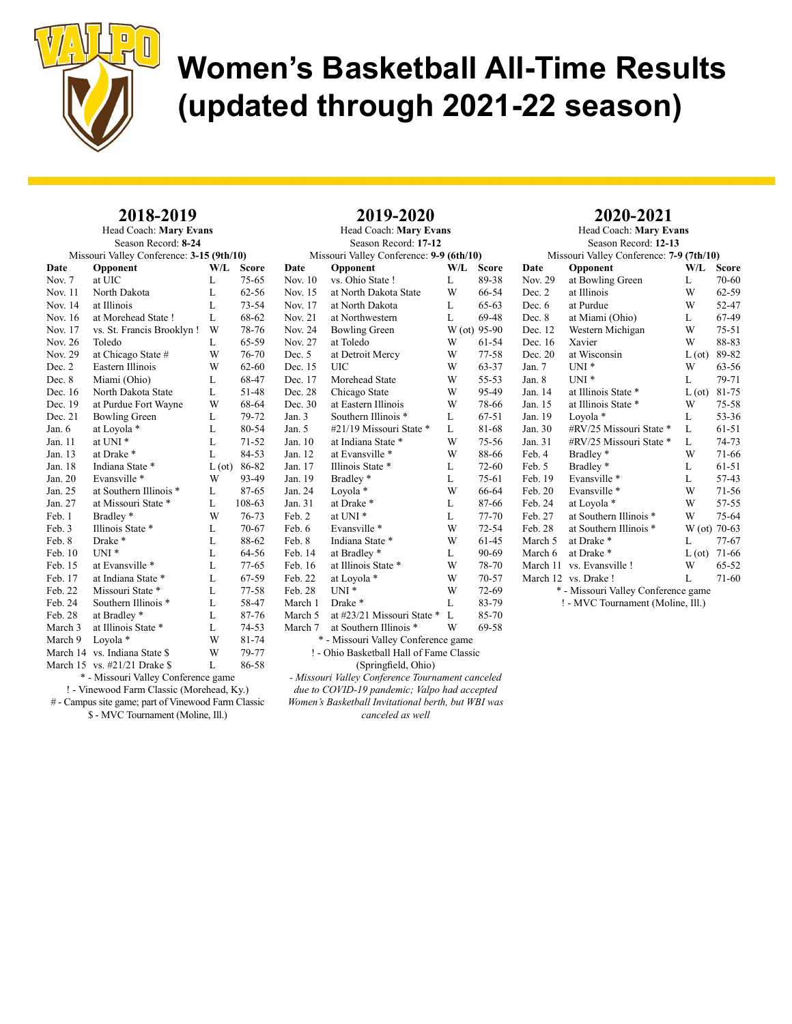

### 2018-2019

Head Coach: Mary Evans Season Record: 8-24

| Missouri Valley Conference: 3-15 (9th/10) |                           |        |              |  |  |  |  |  |
|-------------------------------------------|---------------------------|--------|--------------|--|--|--|--|--|
| Date                                      | Opponent                  | W/L    | <b>Score</b> |  |  |  |  |  |
| Nov. 7                                    | at UIC                    | L      | $75 - 65$    |  |  |  |  |  |
| Nov. 11                                   | North Dakota              | L      | $62 - 56$    |  |  |  |  |  |
| Nov. 14                                   | at Illinois               | L      | $73 - 54$    |  |  |  |  |  |
| Nov. 16                                   | at Morehead State!        | L      | 68-62        |  |  |  |  |  |
| Nov. 17                                   | vs. St. Francis Brooklyn! | W      | 78-76        |  |  |  |  |  |
| Nov. 26                                   | Toledo                    | L      | 65-59        |  |  |  |  |  |
| Nov. 29                                   | at Chicago State #        | W      | 76-70        |  |  |  |  |  |
| Dec. 2                                    | Eastern Illinois          | W      | 62-60        |  |  |  |  |  |
| Dec. 8                                    | Miami (Ohio)              | L      | 68-47        |  |  |  |  |  |
| Dec. 16                                   | North Dakota State        | L      | 51-48        |  |  |  |  |  |
| Dec. 19                                   | at Purdue Fort Wayne      | W      | 68-64        |  |  |  |  |  |
| Dec. 21                                   | <b>Bowling Green</b>      | L      | 79-72        |  |  |  |  |  |
| Jan. 6                                    | at Loyola *               | L      | 80-54        |  |  |  |  |  |
| Jan. 11                                   | at UNI <sup>*</sup>       | L      | $71 - 52$    |  |  |  |  |  |
| Jan. 13                                   | at Drake *                | L      | 84-53        |  |  |  |  |  |
| Jan. 18                                   | Indiana State *           | L (ot) | 86-82        |  |  |  |  |  |
| Jan. 20                                   | Evansville *              | W      | 93-49        |  |  |  |  |  |
| Jan. 25                                   | at Southern Illinois *    | L      | 87-65        |  |  |  |  |  |
| Jan. 27                                   | at Missouri State *       | L      | 108-63       |  |  |  |  |  |
| Feb. 1                                    | Bradley*                  | W      | 76-73        |  |  |  |  |  |
| Feb. 3                                    | Illinois State *          | L      | $70 - 67$    |  |  |  |  |  |
| Feb. 8                                    | Drake*                    | L      | 88-62        |  |  |  |  |  |
| Feb. 10                                   | $UNI*$                    | L      | 64-56        |  |  |  |  |  |
| Feb. 15                                   | at Evansville *           | L      | 77-65        |  |  |  |  |  |
| Feb. 17                                   | at Indiana State *        | L      | 67-59        |  |  |  |  |  |
| Feb. 22                                   | Missouri State *          | L      | 77-58        |  |  |  |  |  |
| Feb. 24                                   | Southern Illinois *       | L      | 58-47        |  |  |  |  |  |
| Feb. 28                                   | at Bradley *              | L      | 87-76        |  |  |  |  |  |
| March 3                                   | at Illinois State *       | L      | $74 - 53$    |  |  |  |  |  |
| March 9                                   | Loyola *                  | W      | 81-74        |  |  |  |  |  |
| March 14                                  | vs. Indiana State \$      | W      | 79-77        |  |  |  |  |  |
| March 15                                  | vs. #21/21 Drake \$       | L      | 86-58        |  |  |  |  |  |
|                                           |                           |        |              |  |  |  |  |  |

\* - Missouri Valley Conference game

! - Vinewood Farm Classic (Morehead, Ky.)

# - Campus site game; part of Vinewood Farm Classic \$ - MVC Tournament (Moline, Ill.)

Season Record: 17-12 Missouri Valley Conference: 9-9 (6th/10) Date Opponent W/L Score Nov. 10 vs. Ohio State ! L 89-38 Nov. 15 at North Dakota State W 66-54<br>Nov. 17 at North Dakota L 65-63 at North Dakota L Nov. 21 at Northwestern L 69-48 Nov. 24 Bowling Green W (ot) 95-90 Nov. 27 at Toledo W 61-54 Dec. 5 at Detroit Mercy W 77-58 Dec. 15 UIC W 63-37 Dec. 17 Morehead State W 55-53 Dec. 28 Chicago State W 95-49 Dec. 30 at Eastern Illinois W 78-66 Jan. 3 Southern Illinois \* L 67-51 Jan. 5 #21/19 Missouri State \* L 81-68<br>Jan. 10 at Indiana State \* W 75-56 Jan. 10 at Indiana State \* W 75-56<br>Jan. 12 at Evansville \* W 88-66 at Evansville \* Jan. 17 Illinois State \* L 72-60 Jan. 19 Bradley \* L 75-61 Jan. 24 Loyola \* W 66-64 at Drake \* L 87-66<br>at UNI \* L 77-70 Feb. 2 at UNI  $*$  L Feb. 6 Evansville \* W 72-54<br>Feb. 8 Indiana State \* W 61-45 Feb. 8 Indiana State \* W 61-45<br>Feb. 14 at Bradley \* L 90-69 at Bradley \* Feb. 16 at Illinois State \* W 78-70<br>Feb. 22 at Lovola \* W 70-57 at Loyola  $*$  W 70-57 Feb. 28 UNI \* W 72-69<br>March 1 Drake \* L 83-79 March 1 Drake \* L 83-79 March 5 at  $\#23/21$  Missouri State \* L 85-70 March 7 at Southern Illinois \* W 69-58 \* - Missouri Valley Conference game ! - Ohio Basketball Hall of Fame Classic (Springfield, Ohio)

2019-2020 Head Coach: Mary Evans

- Missouri Valley Conference Tournament canceled due to COVID-19 pandemic; Valpo had accepted Women's Basketball Invitational berth, but WBI was canceled as well

### 2020-2021

| Head Coach: Mary Evans                   |                                               |               |           |  |  |  |  |  |  |
|------------------------------------------|-----------------------------------------------|---------------|-----------|--|--|--|--|--|--|
| Season Record: 12-13                     |                                               |               |           |  |  |  |  |  |  |
| Missouri Valley Conference: 7-9 (7th/10) |                                               |               |           |  |  |  |  |  |  |
| Date                                     | Opponent                                      | W/L           | Score     |  |  |  |  |  |  |
| <b>Nov. 29</b>                           | at Bowling Green                              | L             | 70-60     |  |  |  |  |  |  |
| Dec. 2                                   | at Illinois                                   | W             | $62 - 59$ |  |  |  |  |  |  |
| Dec. 6                                   | at Purdue                                     | W             | 52-47     |  |  |  |  |  |  |
| Dec. 8                                   | at Miami (Ohio)                               | L             | 67-49     |  |  |  |  |  |  |
| Dec. 12                                  | Western Michigan                              | W             | $75-51$   |  |  |  |  |  |  |
| Dec. 16                                  | Xavier                                        | W             | 88-83     |  |  |  |  |  |  |
| Dec. 20                                  | at Wisconsin                                  | $L(\sigma t)$ | 89-82     |  |  |  |  |  |  |
| Jan. 7                                   | $UNI*$                                        | W             | 63-56     |  |  |  |  |  |  |
| Jan. 8                                   | $UNI^*$                                       | L             | 79-71     |  |  |  |  |  |  |
| Jan. 14                                  | at Illinois State                             | $L(\sigma t)$ | 81-75     |  |  |  |  |  |  |
| Jan. 15                                  | at Illinois State *                           | W             | 75-58     |  |  |  |  |  |  |
| Jan. 19                                  | Loyola *                                      | L             | 53-36     |  |  |  |  |  |  |
| Jan. 30                                  | #RV/25 Missouri State *                       | L             | 61-51     |  |  |  |  |  |  |
| Jan. 31                                  | #RV/25 Missouri State *                       | L             | 74-73     |  |  |  |  |  |  |
| Feb. 4                                   | Bradley*                                      | W             | 71-66     |  |  |  |  |  |  |
| Feb. 5                                   | Bradley <sup>*</sup>                          | L             | 61-51     |  |  |  |  |  |  |
| Feb. 19                                  | Evansville *                                  | L             | 57-43     |  |  |  |  |  |  |
| Feb. 20                                  | Evansville *                                  | W             | 71-56     |  |  |  |  |  |  |
| Feb. 24                                  | at Loyola *                                   | W             | 57-55     |  |  |  |  |  |  |
| Feb. 27                                  | at Southern Illinois *                        | W             | 75-64     |  |  |  |  |  |  |
| Feb. 28                                  | at Southern Illinois *                        | W (ot)        | $70-63$   |  |  |  |  |  |  |
| March 5                                  | at Drake *                                    | L             | $77 - 67$ |  |  |  |  |  |  |
| March 6                                  | at Drake *                                    | $L(\sigma t)$ | 71-66     |  |  |  |  |  |  |
|                                          | March 11 vs. Evansville !                     | W             | 65-52     |  |  |  |  |  |  |
|                                          | March 12 vs. Drake!                           | L             | $71-60$   |  |  |  |  |  |  |
| $\mathbf{r}$                             | $M_{2222}$ $M_0$ $11_{22}$ $C_{21}$ $C_{222}$ |               |           |  |  |  |  |  |  |

\* - Missouri Valley Conference game

! - MVC Tournament (Moline, Ill.)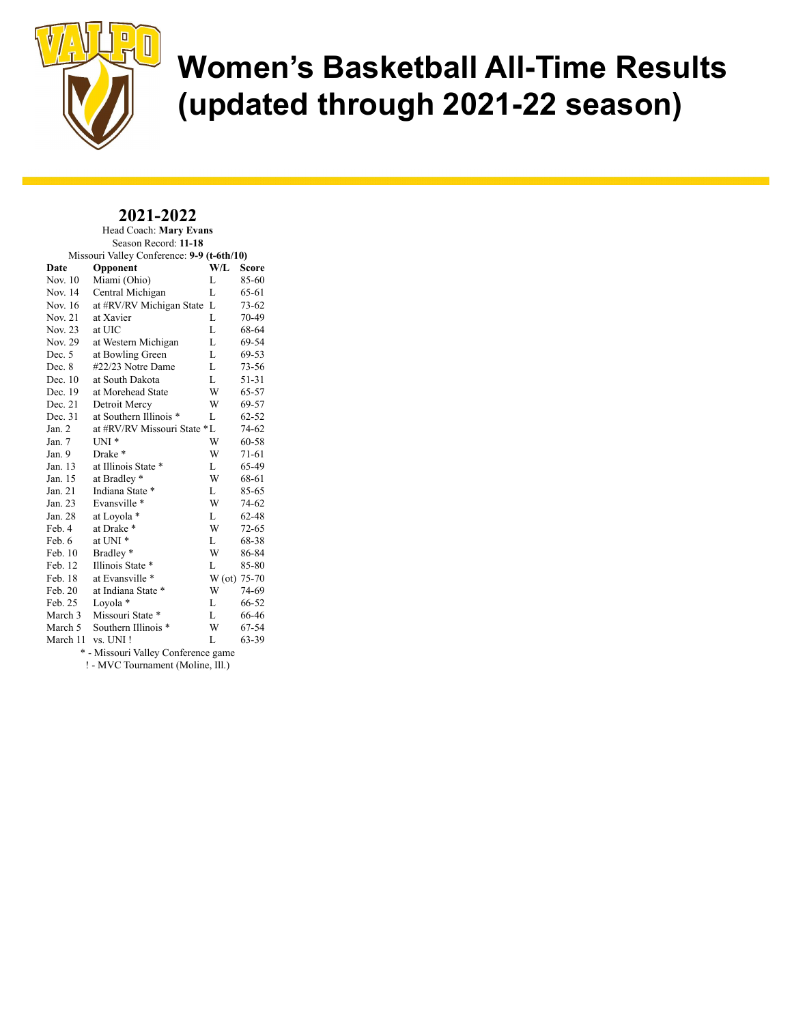

#### 2021-2022 Head Coach: Mary Evans

| Season Record: 11-18                       |                             |        |           |  |  |  |  |  |
|--------------------------------------------|-----------------------------|--------|-----------|--|--|--|--|--|
| Missouri Valley Conference: 9-9 (t-6th/10) |                             |        |           |  |  |  |  |  |
| Date                                       | Opponent                    | W/L    | Score     |  |  |  |  |  |
| Nov. 10                                    | Miami (Ohio)                | L      | 85-60     |  |  |  |  |  |
| Nov. 14                                    | Central Michigan            | L      | 65-61     |  |  |  |  |  |
| Nov. 16                                    | at #RV/RV Michigan State    | L      | $73 - 62$ |  |  |  |  |  |
| <b>Nov. 21</b>                             | at Xavier                   | L      | 70-49     |  |  |  |  |  |
| Nov. 23                                    | at UIC                      | L      | 68-64     |  |  |  |  |  |
| Nov. 29                                    | at Western Michigan         | L      | 69-54     |  |  |  |  |  |
| Dec. 5                                     | at Bowling Green            | L      | 69-53     |  |  |  |  |  |
| Dec. 8                                     | #22/23 Notre Dame           | L      | $73 - 56$ |  |  |  |  |  |
| Dec. 10                                    | at South Dakota             | L      | 51-31     |  |  |  |  |  |
| Dec. 19                                    | at Morehead State           | W      | 65-57     |  |  |  |  |  |
| Dec. 21                                    | Detroit Mercy               | W      | 69-57     |  |  |  |  |  |
| Dec. 31                                    | at Southern Illinois *      | L      | $62 - 52$ |  |  |  |  |  |
| Jan. 2                                     | at #RV/RV Missouri State *L |        | 74-62     |  |  |  |  |  |
| Jan. 7                                     | $UNI*$                      | W      | 60-58     |  |  |  |  |  |
| Jan. 9                                     | Drake *                     | W      | 71-61     |  |  |  |  |  |
| Jan. 13                                    | at Illinois State *         | L      | 65-49     |  |  |  |  |  |
| Jan. 15                                    | at Bradley *                | W      | 68-61     |  |  |  |  |  |
| Jan. 21                                    | Indiana State *             | L      | 85-65     |  |  |  |  |  |
| Jan. 23                                    | Evansville *                | W      | 74-62     |  |  |  |  |  |
| Jan. 28                                    | at Loyola *                 | L      | 62-48     |  |  |  |  |  |
| Feb. 4                                     | at Drake *                  | W      | $72 - 65$ |  |  |  |  |  |
| Feb. 6                                     | at UNI <sup>*</sup>         | L      | 68-38     |  |  |  |  |  |
| Feb. 10                                    | Bradley*                    | W      | 86-84     |  |  |  |  |  |
| Feb. 12                                    | Illinois State *            | L      | 85-80     |  |  |  |  |  |
| Feb. 18                                    | at Evansville *             | W (ot) | 75-70     |  |  |  |  |  |
| Feb. 20                                    | at Indiana State *          | W      | 74-69     |  |  |  |  |  |
| Feb. 25                                    | Loyola *                    | L      | 66-52     |  |  |  |  |  |
| March 3                                    | Missouri State *            | L      | 66-46     |  |  |  |  |  |
| March 5                                    | Southern Illinois *         | W      | 67-54     |  |  |  |  |  |
| March 11                                   | vs. UNI!                    | L      | 63-39     |  |  |  |  |  |
| * - Missouri Valley Conference game        |                             |        |           |  |  |  |  |  |

! - MVC Tournament (Moline, Ill.)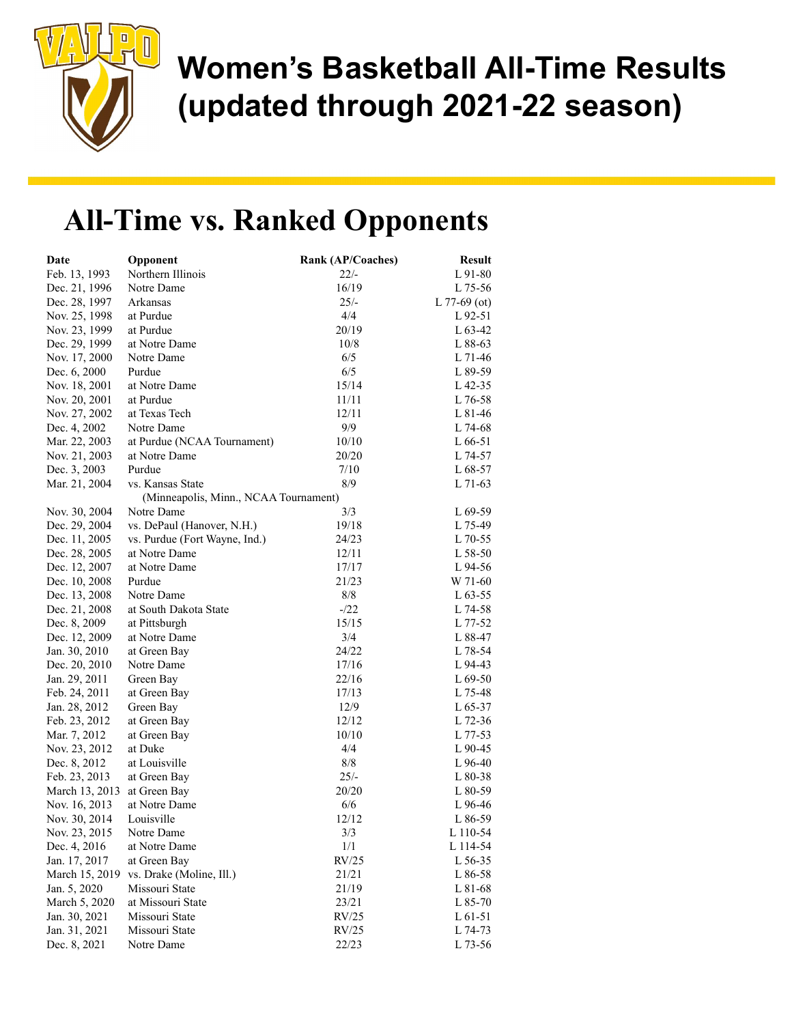

## All-Time vs. Ranked Opponents

| Northern Illinois<br>$22/-$<br>L 91-80<br>Feb. 13, 1993<br>16/19<br>Dec. 21, 1996<br>Notre Dame<br>L 75-56<br>$25/-$<br>Dec. 28, 1997<br>Arkansas<br>L $77-69$ (ot)<br>at Purdue<br>4/4<br>Nov. 25, 1998<br>$L92-51$<br>Nov. 23, 1999<br>at Purdue<br>20/19<br>$L$ 63-42<br>Dec. 29, 1999<br>at Notre Dame<br>10/8<br>L 88-63<br>6/5<br>Nov. 17, 2000<br>Notre Dame<br>L 71-46<br>Purdue<br>6/5<br>Dec. 6, 2000<br>L 89-59<br>at Notre Dame<br>15/14<br>Nov. 18, 2001<br>$L$ 42-35<br>Nov. 20, 2001<br>at Purdue<br>11/11<br>$\rm L$ 76-58<br>Nov. 27, 2002<br>at Texas Tech<br>12/11<br>L 81-46<br>Notre Dame<br>9/9<br>Dec. 4, 2002<br>L 74-68<br>at Purdue (NCAA Tournament)<br>Mar. 22, 2003<br>10/10<br>$L 66-51$<br>at Notre Dame<br>20/20<br>Nov. 21, 2003<br>L 74-57<br>Dec. 3, 2003<br>Purdue<br>7/10<br>L 68-57<br>8/9<br>Mar. 21, 2004<br>vs. Kansas State<br>$L$ 71-63<br>(Minneapolis, Minn., NCAA Tournament)<br>3/3<br>Nov. 30, 2004<br>Notre Dame<br>$L69-59$<br>Dec. 29, 2004<br>vs. DePaul (Hanover, N.H.)<br>19/18<br>L 75-49<br>Dec. 11, 2005<br>24/23<br>vs. Purdue (Fort Wayne, Ind.)<br>L 70-55<br>Dec. 28, 2005<br>at Notre Dame<br>12/11<br>L 58-50<br>at Notre Dame<br>Dec. 12, 2007<br>17/17<br>L 94-56<br>Purdue<br>21/23<br>Dec. 10, 2008<br>W 71-60<br>Notre Dame<br>8/8<br>Dec. 13, 2008<br>$L$ 63-55<br>Dec. 21, 2008<br>at South Dakota State<br>$-122$<br>L 74-58<br>Dec. 8, 2009<br>at Pittsburgh<br>15/15<br>L 77-52<br>3/4<br>Dec. 12, 2009<br>at Notre Dame<br>L 88-47<br>24/22<br>Jan. 30, 2010<br>at Green Bay<br>L 78-54<br>Dec. 20, 2010<br>17/16<br>Notre Dame<br>L 94-43<br>Jan. 29, 2011<br>22/16<br>$L69-50$<br>Green Bay<br>Feb. 24, 2011<br>at Green Bay<br>17/13<br>L 75-48<br>Jan. 28, 2012<br>Green Bay<br>12/9<br>$L$ 65-37<br>12/12<br>Feb. 23, 2012<br>at Green Bay<br>L 72-36<br>10/10<br>Mar. 7, 2012<br>at Green Bay<br>L 77-53<br>Nov. 23, 2012<br>4/4<br>at Duke<br>$L90-45$<br>8/8<br>Dec. 8, 2012<br>at Louisville<br>$L96-40$<br>$25/-$<br>Feb. 23, 2013<br>at Green Bay<br>L 80-38<br>20/20<br>March 13, 2013<br>at Green Bay<br>$L80-59$<br>at Notre Dame<br>6/6<br>Nov. 16, 2013<br>L 96-46<br>Nov. 30, 2014<br>Louisville<br>12/12<br>L 86-59<br>Nov. 23, 2015<br>3/3<br>L 110-54<br>Notre Dame<br>Dec. 4, 2016<br>at Notre Dame<br>1/1<br>L 114-54<br>RV/25<br>Jan. 17, 2017<br>at Green Bay<br>L 56-35<br>vs. Drake (Moline, Ill.)<br>March 15, 2019<br>21/21<br>L 86-58<br>Jan. 5, 2020<br>Missouri State<br>21/19<br>L 81-68<br>March 5, 2020<br>at Missouri State<br>23/21<br>L 85-70<br>Missouri State<br>Jan. 30, 2021<br>RV/25<br>L 61-51<br>Jan. 31, 2021<br>Missouri State<br>RV/25<br>L 74-73 | Date         | Opponent   | Rank (AP/Coaches) | <b>Result</b> |
|----------------------------------------------------------------------------------------------------------------------------------------------------------------------------------------------------------------------------------------------------------------------------------------------------------------------------------------------------------------------------------------------------------------------------------------------------------------------------------------------------------------------------------------------------------------------------------------------------------------------------------------------------------------------------------------------------------------------------------------------------------------------------------------------------------------------------------------------------------------------------------------------------------------------------------------------------------------------------------------------------------------------------------------------------------------------------------------------------------------------------------------------------------------------------------------------------------------------------------------------------------------------------------------------------------------------------------------------------------------------------------------------------------------------------------------------------------------------------------------------------------------------------------------------------------------------------------------------------------------------------------------------------------------------------------------------------------------------------------------------------------------------------------------------------------------------------------------------------------------------------------------------------------------------------------------------------------------------------------------------------------------------------------------------------------------------------------------------------------------------------------------------------------------------------------------------------------------------------------------------------------------------------------------------------------------------------------------------------------------------------------------------------------------------------------------------------------------------------------------------------------------------------------------------------------------------------------------------------------------------------------------------------------------------------|--------------|------------|-------------------|---------------|
|                                                                                                                                                                                                                                                                                                                                                                                                                                                                                                                                                                                                                                                                                                                                                                                                                                                                                                                                                                                                                                                                                                                                                                                                                                                                                                                                                                                                                                                                                                                                                                                                                                                                                                                                                                                                                                                                                                                                                                                                                                                                                                                                                                                                                                                                                                                                                                                                                                                                                                                                                                                                                                                                            |              |            |                   |               |
|                                                                                                                                                                                                                                                                                                                                                                                                                                                                                                                                                                                                                                                                                                                                                                                                                                                                                                                                                                                                                                                                                                                                                                                                                                                                                                                                                                                                                                                                                                                                                                                                                                                                                                                                                                                                                                                                                                                                                                                                                                                                                                                                                                                                                                                                                                                                                                                                                                                                                                                                                                                                                                                                            |              |            |                   |               |
|                                                                                                                                                                                                                                                                                                                                                                                                                                                                                                                                                                                                                                                                                                                                                                                                                                                                                                                                                                                                                                                                                                                                                                                                                                                                                                                                                                                                                                                                                                                                                                                                                                                                                                                                                                                                                                                                                                                                                                                                                                                                                                                                                                                                                                                                                                                                                                                                                                                                                                                                                                                                                                                                            |              |            |                   |               |
|                                                                                                                                                                                                                                                                                                                                                                                                                                                                                                                                                                                                                                                                                                                                                                                                                                                                                                                                                                                                                                                                                                                                                                                                                                                                                                                                                                                                                                                                                                                                                                                                                                                                                                                                                                                                                                                                                                                                                                                                                                                                                                                                                                                                                                                                                                                                                                                                                                                                                                                                                                                                                                                                            |              |            |                   |               |
|                                                                                                                                                                                                                                                                                                                                                                                                                                                                                                                                                                                                                                                                                                                                                                                                                                                                                                                                                                                                                                                                                                                                                                                                                                                                                                                                                                                                                                                                                                                                                                                                                                                                                                                                                                                                                                                                                                                                                                                                                                                                                                                                                                                                                                                                                                                                                                                                                                                                                                                                                                                                                                                                            |              |            |                   |               |
|                                                                                                                                                                                                                                                                                                                                                                                                                                                                                                                                                                                                                                                                                                                                                                                                                                                                                                                                                                                                                                                                                                                                                                                                                                                                                                                                                                                                                                                                                                                                                                                                                                                                                                                                                                                                                                                                                                                                                                                                                                                                                                                                                                                                                                                                                                                                                                                                                                                                                                                                                                                                                                                                            |              |            |                   |               |
|                                                                                                                                                                                                                                                                                                                                                                                                                                                                                                                                                                                                                                                                                                                                                                                                                                                                                                                                                                                                                                                                                                                                                                                                                                                                                                                                                                                                                                                                                                                                                                                                                                                                                                                                                                                                                                                                                                                                                                                                                                                                                                                                                                                                                                                                                                                                                                                                                                                                                                                                                                                                                                                                            |              |            |                   |               |
|                                                                                                                                                                                                                                                                                                                                                                                                                                                                                                                                                                                                                                                                                                                                                                                                                                                                                                                                                                                                                                                                                                                                                                                                                                                                                                                                                                                                                                                                                                                                                                                                                                                                                                                                                                                                                                                                                                                                                                                                                                                                                                                                                                                                                                                                                                                                                                                                                                                                                                                                                                                                                                                                            |              |            |                   |               |
|                                                                                                                                                                                                                                                                                                                                                                                                                                                                                                                                                                                                                                                                                                                                                                                                                                                                                                                                                                                                                                                                                                                                                                                                                                                                                                                                                                                                                                                                                                                                                                                                                                                                                                                                                                                                                                                                                                                                                                                                                                                                                                                                                                                                                                                                                                                                                                                                                                                                                                                                                                                                                                                                            |              |            |                   |               |
|                                                                                                                                                                                                                                                                                                                                                                                                                                                                                                                                                                                                                                                                                                                                                                                                                                                                                                                                                                                                                                                                                                                                                                                                                                                                                                                                                                                                                                                                                                                                                                                                                                                                                                                                                                                                                                                                                                                                                                                                                                                                                                                                                                                                                                                                                                                                                                                                                                                                                                                                                                                                                                                                            |              |            |                   |               |
|                                                                                                                                                                                                                                                                                                                                                                                                                                                                                                                                                                                                                                                                                                                                                                                                                                                                                                                                                                                                                                                                                                                                                                                                                                                                                                                                                                                                                                                                                                                                                                                                                                                                                                                                                                                                                                                                                                                                                                                                                                                                                                                                                                                                                                                                                                                                                                                                                                                                                                                                                                                                                                                                            |              |            |                   |               |
|                                                                                                                                                                                                                                                                                                                                                                                                                                                                                                                                                                                                                                                                                                                                                                                                                                                                                                                                                                                                                                                                                                                                                                                                                                                                                                                                                                                                                                                                                                                                                                                                                                                                                                                                                                                                                                                                                                                                                                                                                                                                                                                                                                                                                                                                                                                                                                                                                                                                                                                                                                                                                                                                            |              |            |                   |               |
|                                                                                                                                                                                                                                                                                                                                                                                                                                                                                                                                                                                                                                                                                                                                                                                                                                                                                                                                                                                                                                                                                                                                                                                                                                                                                                                                                                                                                                                                                                                                                                                                                                                                                                                                                                                                                                                                                                                                                                                                                                                                                                                                                                                                                                                                                                                                                                                                                                                                                                                                                                                                                                                                            |              |            |                   |               |
|                                                                                                                                                                                                                                                                                                                                                                                                                                                                                                                                                                                                                                                                                                                                                                                                                                                                                                                                                                                                                                                                                                                                                                                                                                                                                                                                                                                                                                                                                                                                                                                                                                                                                                                                                                                                                                                                                                                                                                                                                                                                                                                                                                                                                                                                                                                                                                                                                                                                                                                                                                                                                                                                            |              |            |                   |               |
|                                                                                                                                                                                                                                                                                                                                                                                                                                                                                                                                                                                                                                                                                                                                                                                                                                                                                                                                                                                                                                                                                                                                                                                                                                                                                                                                                                                                                                                                                                                                                                                                                                                                                                                                                                                                                                                                                                                                                                                                                                                                                                                                                                                                                                                                                                                                                                                                                                                                                                                                                                                                                                                                            |              |            |                   |               |
|                                                                                                                                                                                                                                                                                                                                                                                                                                                                                                                                                                                                                                                                                                                                                                                                                                                                                                                                                                                                                                                                                                                                                                                                                                                                                                                                                                                                                                                                                                                                                                                                                                                                                                                                                                                                                                                                                                                                                                                                                                                                                                                                                                                                                                                                                                                                                                                                                                                                                                                                                                                                                                                                            |              |            |                   |               |
|                                                                                                                                                                                                                                                                                                                                                                                                                                                                                                                                                                                                                                                                                                                                                                                                                                                                                                                                                                                                                                                                                                                                                                                                                                                                                                                                                                                                                                                                                                                                                                                                                                                                                                                                                                                                                                                                                                                                                                                                                                                                                                                                                                                                                                                                                                                                                                                                                                                                                                                                                                                                                                                                            |              |            |                   |               |
|                                                                                                                                                                                                                                                                                                                                                                                                                                                                                                                                                                                                                                                                                                                                                                                                                                                                                                                                                                                                                                                                                                                                                                                                                                                                                                                                                                                                                                                                                                                                                                                                                                                                                                                                                                                                                                                                                                                                                                                                                                                                                                                                                                                                                                                                                                                                                                                                                                                                                                                                                                                                                                                                            |              |            |                   |               |
|                                                                                                                                                                                                                                                                                                                                                                                                                                                                                                                                                                                                                                                                                                                                                                                                                                                                                                                                                                                                                                                                                                                                                                                                                                                                                                                                                                                                                                                                                                                                                                                                                                                                                                                                                                                                                                                                                                                                                                                                                                                                                                                                                                                                                                                                                                                                                                                                                                                                                                                                                                                                                                                                            |              |            |                   |               |
|                                                                                                                                                                                                                                                                                                                                                                                                                                                                                                                                                                                                                                                                                                                                                                                                                                                                                                                                                                                                                                                                                                                                                                                                                                                                                                                                                                                                                                                                                                                                                                                                                                                                                                                                                                                                                                                                                                                                                                                                                                                                                                                                                                                                                                                                                                                                                                                                                                                                                                                                                                                                                                                                            |              |            |                   |               |
|                                                                                                                                                                                                                                                                                                                                                                                                                                                                                                                                                                                                                                                                                                                                                                                                                                                                                                                                                                                                                                                                                                                                                                                                                                                                                                                                                                                                                                                                                                                                                                                                                                                                                                                                                                                                                                                                                                                                                                                                                                                                                                                                                                                                                                                                                                                                                                                                                                                                                                                                                                                                                                                                            |              |            |                   |               |
|                                                                                                                                                                                                                                                                                                                                                                                                                                                                                                                                                                                                                                                                                                                                                                                                                                                                                                                                                                                                                                                                                                                                                                                                                                                                                                                                                                                                                                                                                                                                                                                                                                                                                                                                                                                                                                                                                                                                                                                                                                                                                                                                                                                                                                                                                                                                                                                                                                                                                                                                                                                                                                                                            |              |            |                   |               |
|                                                                                                                                                                                                                                                                                                                                                                                                                                                                                                                                                                                                                                                                                                                                                                                                                                                                                                                                                                                                                                                                                                                                                                                                                                                                                                                                                                                                                                                                                                                                                                                                                                                                                                                                                                                                                                                                                                                                                                                                                                                                                                                                                                                                                                                                                                                                                                                                                                                                                                                                                                                                                                                                            |              |            |                   |               |
|                                                                                                                                                                                                                                                                                                                                                                                                                                                                                                                                                                                                                                                                                                                                                                                                                                                                                                                                                                                                                                                                                                                                                                                                                                                                                                                                                                                                                                                                                                                                                                                                                                                                                                                                                                                                                                                                                                                                                                                                                                                                                                                                                                                                                                                                                                                                                                                                                                                                                                                                                                                                                                                                            |              |            |                   |               |
|                                                                                                                                                                                                                                                                                                                                                                                                                                                                                                                                                                                                                                                                                                                                                                                                                                                                                                                                                                                                                                                                                                                                                                                                                                                                                                                                                                                                                                                                                                                                                                                                                                                                                                                                                                                                                                                                                                                                                                                                                                                                                                                                                                                                                                                                                                                                                                                                                                                                                                                                                                                                                                                                            |              |            |                   |               |
|                                                                                                                                                                                                                                                                                                                                                                                                                                                                                                                                                                                                                                                                                                                                                                                                                                                                                                                                                                                                                                                                                                                                                                                                                                                                                                                                                                                                                                                                                                                                                                                                                                                                                                                                                                                                                                                                                                                                                                                                                                                                                                                                                                                                                                                                                                                                                                                                                                                                                                                                                                                                                                                                            |              |            |                   |               |
|                                                                                                                                                                                                                                                                                                                                                                                                                                                                                                                                                                                                                                                                                                                                                                                                                                                                                                                                                                                                                                                                                                                                                                                                                                                                                                                                                                                                                                                                                                                                                                                                                                                                                                                                                                                                                                                                                                                                                                                                                                                                                                                                                                                                                                                                                                                                                                                                                                                                                                                                                                                                                                                                            |              |            |                   |               |
|                                                                                                                                                                                                                                                                                                                                                                                                                                                                                                                                                                                                                                                                                                                                                                                                                                                                                                                                                                                                                                                                                                                                                                                                                                                                                                                                                                                                                                                                                                                                                                                                                                                                                                                                                                                                                                                                                                                                                                                                                                                                                                                                                                                                                                                                                                                                                                                                                                                                                                                                                                                                                                                                            |              |            |                   |               |
|                                                                                                                                                                                                                                                                                                                                                                                                                                                                                                                                                                                                                                                                                                                                                                                                                                                                                                                                                                                                                                                                                                                                                                                                                                                                                                                                                                                                                                                                                                                                                                                                                                                                                                                                                                                                                                                                                                                                                                                                                                                                                                                                                                                                                                                                                                                                                                                                                                                                                                                                                                                                                                                                            |              |            |                   |               |
|                                                                                                                                                                                                                                                                                                                                                                                                                                                                                                                                                                                                                                                                                                                                                                                                                                                                                                                                                                                                                                                                                                                                                                                                                                                                                                                                                                                                                                                                                                                                                                                                                                                                                                                                                                                                                                                                                                                                                                                                                                                                                                                                                                                                                                                                                                                                                                                                                                                                                                                                                                                                                                                                            |              |            |                   |               |
|                                                                                                                                                                                                                                                                                                                                                                                                                                                                                                                                                                                                                                                                                                                                                                                                                                                                                                                                                                                                                                                                                                                                                                                                                                                                                                                                                                                                                                                                                                                                                                                                                                                                                                                                                                                                                                                                                                                                                                                                                                                                                                                                                                                                                                                                                                                                                                                                                                                                                                                                                                                                                                                                            |              |            |                   |               |
|                                                                                                                                                                                                                                                                                                                                                                                                                                                                                                                                                                                                                                                                                                                                                                                                                                                                                                                                                                                                                                                                                                                                                                                                                                                                                                                                                                                                                                                                                                                                                                                                                                                                                                                                                                                                                                                                                                                                                                                                                                                                                                                                                                                                                                                                                                                                                                                                                                                                                                                                                                                                                                                                            |              |            |                   |               |
|                                                                                                                                                                                                                                                                                                                                                                                                                                                                                                                                                                                                                                                                                                                                                                                                                                                                                                                                                                                                                                                                                                                                                                                                                                                                                                                                                                                                                                                                                                                                                                                                                                                                                                                                                                                                                                                                                                                                                                                                                                                                                                                                                                                                                                                                                                                                                                                                                                                                                                                                                                                                                                                                            |              |            |                   |               |
|                                                                                                                                                                                                                                                                                                                                                                                                                                                                                                                                                                                                                                                                                                                                                                                                                                                                                                                                                                                                                                                                                                                                                                                                                                                                                                                                                                                                                                                                                                                                                                                                                                                                                                                                                                                                                                                                                                                                                                                                                                                                                                                                                                                                                                                                                                                                                                                                                                                                                                                                                                                                                                                                            |              |            |                   |               |
|                                                                                                                                                                                                                                                                                                                                                                                                                                                                                                                                                                                                                                                                                                                                                                                                                                                                                                                                                                                                                                                                                                                                                                                                                                                                                                                                                                                                                                                                                                                                                                                                                                                                                                                                                                                                                                                                                                                                                                                                                                                                                                                                                                                                                                                                                                                                                                                                                                                                                                                                                                                                                                                                            |              |            |                   |               |
|                                                                                                                                                                                                                                                                                                                                                                                                                                                                                                                                                                                                                                                                                                                                                                                                                                                                                                                                                                                                                                                                                                                                                                                                                                                                                                                                                                                                                                                                                                                                                                                                                                                                                                                                                                                                                                                                                                                                                                                                                                                                                                                                                                                                                                                                                                                                                                                                                                                                                                                                                                                                                                                                            |              |            |                   |               |
|                                                                                                                                                                                                                                                                                                                                                                                                                                                                                                                                                                                                                                                                                                                                                                                                                                                                                                                                                                                                                                                                                                                                                                                                                                                                                                                                                                                                                                                                                                                                                                                                                                                                                                                                                                                                                                                                                                                                                                                                                                                                                                                                                                                                                                                                                                                                                                                                                                                                                                                                                                                                                                                                            |              |            |                   |               |
|                                                                                                                                                                                                                                                                                                                                                                                                                                                                                                                                                                                                                                                                                                                                                                                                                                                                                                                                                                                                                                                                                                                                                                                                                                                                                                                                                                                                                                                                                                                                                                                                                                                                                                                                                                                                                                                                                                                                                                                                                                                                                                                                                                                                                                                                                                                                                                                                                                                                                                                                                                                                                                                                            |              |            |                   |               |
|                                                                                                                                                                                                                                                                                                                                                                                                                                                                                                                                                                                                                                                                                                                                                                                                                                                                                                                                                                                                                                                                                                                                                                                                                                                                                                                                                                                                                                                                                                                                                                                                                                                                                                                                                                                                                                                                                                                                                                                                                                                                                                                                                                                                                                                                                                                                                                                                                                                                                                                                                                                                                                                                            |              |            |                   |               |
|                                                                                                                                                                                                                                                                                                                                                                                                                                                                                                                                                                                                                                                                                                                                                                                                                                                                                                                                                                                                                                                                                                                                                                                                                                                                                                                                                                                                                                                                                                                                                                                                                                                                                                                                                                                                                                                                                                                                                                                                                                                                                                                                                                                                                                                                                                                                                                                                                                                                                                                                                                                                                                                                            |              |            |                   |               |
|                                                                                                                                                                                                                                                                                                                                                                                                                                                                                                                                                                                                                                                                                                                                                                                                                                                                                                                                                                                                                                                                                                                                                                                                                                                                                                                                                                                                                                                                                                                                                                                                                                                                                                                                                                                                                                                                                                                                                                                                                                                                                                                                                                                                                                                                                                                                                                                                                                                                                                                                                                                                                                                                            |              |            |                   |               |
|                                                                                                                                                                                                                                                                                                                                                                                                                                                                                                                                                                                                                                                                                                                                                                                                                                                                                                                                                                                                                                                                                                                                                                                                                                                                                                                                                                                                                                                                                                                                                                                                                                                                                                                                                                                                                                                                                                                                                                                                                                                                                                                                                                                                                                                                                                                                                                                                                                                                                                                                                                                                                                                                            |              |            |                   |               |
|                                                                                                                                                                                                                                                                                                                                                                                                                                                                                                                                                                                                                                                                                                                                                                                                                                                                                                                                                                                                                                                                                                                                                                                                                                                                                                                                                                                                                                                                                                                                                                                                                                                                                                                                                                                                                                                                                                                                                                                                                                                                                                                                                                                                                                                                                                                                                                                                                                                                                                                                                                                                                                                                            |              |            |                   |               |
|                                                                                                                                                                                                                                                                                                                                                                                                                                                                                                                                                                                                                                                                                                                                                                                                                                                                                                                                                                                                                                                                                                                                                                                                                                                                                                                                                                                                                                                                                                                                                                                                                                                                                                                                                                                                                                                                                                                                                                                                                                                                                                                                                                                                                                                                                                                                                                                                                                                                                                                                                                                                                                                                            |              |            |                   |               |
|                                                                                                                                                                                                                                                                                                                                                                                                                                                                                                                                                                                                                                                                                                                                                                                                                                                                                                                                                                                                                                                                                                                                                                                                                                                                                                                                                                                                                                                                                                                                                                                                                                                                                                                                                                                                                                                                                                                                                                                                                                                                                                                                                                                                                                                                                                                                                                                                                                                                                                                                                                                                                                                                            |              |            |                   |               |
|                                                                                                                                                                                                                                                                                                                                                                                                                                                                                                                                                                                                                                                                                                                                                                                                                                                                                                                                                                                                                                                                                                                                                                                                                                                                                                                                                                                                                                                                                                                                                                                                                                                                                                                                                                                                                                                                                                                                                                                                                                                                                                                                                                                                                                                                                                                                                                                                                                                                                                                                                                                                                                                                            |              |            |                   |               |
|                                                                                                                                                                                                                                                                                                                                                                                                                                                                                                                                                                                                                                                                                                                                                                                                                                                                                                                                                                                                                                                                                                                                                                                                                                                                                                                                                                                                                                                                                                                                                                                                                                                                                                                                                                                                                                                                                                                                                                                                                                                                                                                                                                                                                                                                                                                                                                                                                                                                                                                                                                                                                                                                            |              |            |                   |               |
|                                                                                                                                                                                                                                                                                                                                                                                                                                                                                                                                                                                                                                                                                                                                                                                                                                                                                                                                                                                                                                                                                                                                                                                                                                                                                                                                                                                                                                                                                                                                                                                                                                                                                                                                                                                                                                                                                                                                                                                                                                                                                                                                                                                                                                                                                                                                                                                                                                                                                                                                                                                                                                                                            |              |            |                   |               |
|                                                                                                                                                                                                                                                                                                                                                                                                                                                                                                                                                                                                                                                                                                                                                                                                                                                                                                                                                                                                                                                                                                                                                                                                                                                                                                                                                                                                                                                                                                                                                                                                                                                                                                                                                                                                                                                                                                                                                                                                                                                                                                                                                                                                                                                                                                                                                                                                                                                                                                                                                                                                                                                                            | Dec. 8, 2021 | Notre Dame | 22/23             | $L$ 73-56     |